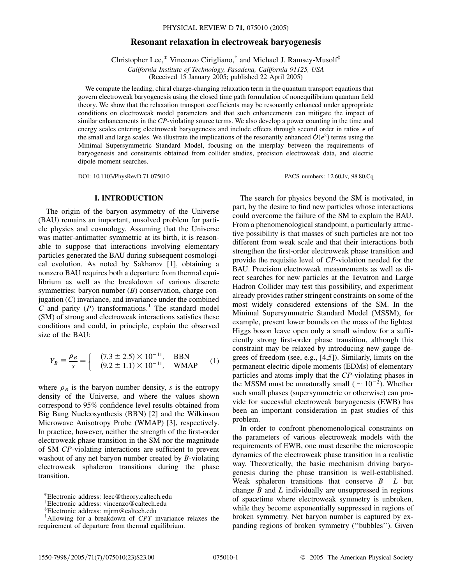# **Resonant relaxation in electroweak baryogenesis**

Christopher Lee,\* Vincenzo Cirigliano, $^{\dagger}$  and Michael J. Ramsey-Musolf<sup> $\ddagger$ </sup>

*California Institute of Technology, Pasadena, California 91125, USA* (Received 15 January 2005; published 22 April 2005)

We compute the leading, chiral charge-changing relaxation term in the quantum transport equations that govern electroweak baryogenesis using the closed time path formulation of nonequilibrium quantum field theory. We show that the relaxation transport coefficients may be resonantly enhanced under appropriate conditions on electroweak model parameters and that such enhancements can mitigate the impact of similar enhancements in the *CP*-violating source terms. We also develop a power counting in the time and energy scales entering electroweak baryogenesis and include effects through second order in ratios  $\epsilon$  of the small and large scales. We illustrate the implications of the resonantly enhanced  $\mathcal{O}(\epsilon^2)$  terms using the Minimal Supersymmetric Standard Model, focusing on the interplay between the requirements of baryogenesis and constraints obtained from collider studies, precision electroweak data, and electric dipole moment searches.

DOI: 10.1103/PhysRevD.71.075010 PACS numbers: 12.60.Jv, 98.80.Cq

## **I. INTRODUCTION**

The origin of the baryon asymmetry of the Universe (BAU) remains an important, unsolved problem for particle physics and cosmology. Assuming that the Universe was matter-antimatter symmetric at its birth, it is reasonable to suppose that interactions involving elementary particles generated the BAU during subsequent cosmological evolution. As noted by Sakharov [1], obtaining a nonzero BAU requires both a departure from thermal equilibrium as well as the breakdown of various discrete symmetries: baryon number (*B*) conservation, charge conjugation  $(C)$  invariance, and invariance under the combined  $C$  and parity  $(P)$  transformations.<sup>1</sup> The standard model (SM) of strong and electroweak interactions satisfies these conditions and could, in principle, explain the observed size of the BAU:

$$
Y_B = \frac{\rho_B}{s} = \begin{cases} (7.3 \pm 2.5) \times 10^{-11}, & \text{BBN} \\ (9.2 \pm 1.1) \times 10^{-11}, & \text{WMAP} \end{cases} (1)
$$

where  $\rho_B$  is the baryon number density, *s* is the entropy density of the Universe, and where the values shown correspond to 95% confidence level results obtained from Big Bang Nucleosynthesis (BBN) [2] and the Wilkinson Microwave Anisotropy Probe (WMAP) [3], respectively. In practice, however, neither the strength of the first-order electroweak phase transition in the SM nor the magnitude of SM *CP*-violating interactions are sufficient to prevent washout of any net baryon number created by *B*-violating electroweak sphaleron transitions during the phase transition.

The search for physics beyond the SM is motivated, in part, by the desire to find new particles whose interactions could overcome the failure of the SM to explain the BAU. From a phenomenological standpoint, a particularly attractive possibility is that masses of such particles are not too different from weak scale and that their interactions both strengthen the first-order electroweak phase transition and provide the requisite level of *CP*-violation needed for the BAU. Precision electroweak measurements as well as direct searches for new particles at the Tevatron and Large Hadron Collider may test this possibility, and experiment already provides rather stringent constraints on some of the most widely considered extensions of the SM. In the Minimal Supersymmetric Standard Model (MSSM), for example, present lower bounds on the mass of the lightest Higgs boson leave open only a small window for a sufficiently strong first-order phase transition, although this constraint may be relaxed by introducing new gauge degrees of freedom (see, e.g., [4,5]). Similarly, limits on the permanent electric dipole moments (EDMs) of elementary particles and atoms imply that the *CP*-violating phases in the MSSM must be unnaturally small ( $\sim 10^{-2}$ ). Whether such small phases (supersymmetric or otherwise) can provide for successful electroweak baryogenesis (EWB) has been an important consideration in past studies of this problem.

In order to confront phenomenological constraints on the parameters of various electroweak models with the requirements of EWB, one must describe the microscopic dynamics of the electroweak phase transition in a realistic way. Theoretically, the basic mechanism driving baryogenesis during the phase transition is well-established. Weak sphaleron transitions that conserve  $B - L$  but change *B* and *L* individually are unsuppressed in regions of spacetime where electroweak symmetry is unbroken, while they become exponentially suppressed in regions of broken symmetry. Net baryon number is captured by expanding regions of broken symmetry (''bubbles''). Given

<sup>\*</sup>Electronic address: leec@theory.caltech.edu

<sup>†</sup> Electronic address: vincenzo@caltech.edu

<sup>‡</sup> Electronic address: mjrm@caltech.edu

<sup>&</sup>lt;sup>1</sup>Allowing for a breakdown of *CPT* invariance relaxes the requirement of departure from thermal equilibrium.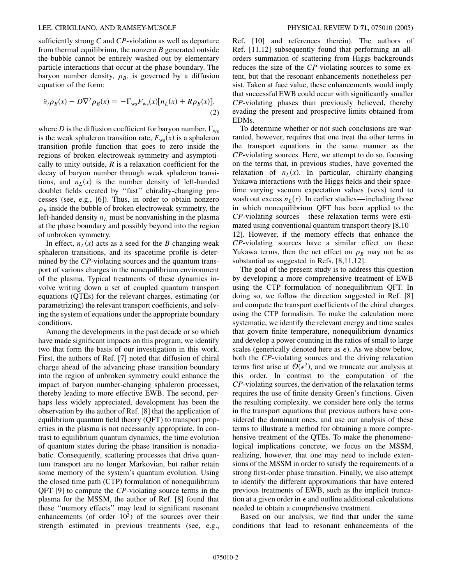sufficiently strong *C* and *CP*-violation as well as departure from thermal equilibrium, the nonzero *B* generated outside the bubble cannot be entirely washed out by elementary particle interactions that occur at the phase boundary. The baryon number density,  $\rho_B$ , is governed by a diffusion equation of the form:

$$
\partial_t \rho_B(x) - D \nabla^2 \rho_B(x) = -\Gamma_{\text{ws}} F_{\text{ws}}(x) [n_L(x) + R \rho_B(x)], \tag{2}
$$

where *D* is the diffusion coefficient for baryon number,  $\Gamma_{\text{ws}}$ is the weak sphaleron transition rate,  $F_{ws}(x)$  is a sphaleron transition profile function that goes to zero inside the regions of broken electroweak symmetry and asymptotically to unity outside, *R* is a relaxation coefficient for the decay of baryon number through weak sphaleron transitions, and  $n<sub>L</sub>(x)$  is the number density of left-handed doublet fields created by ''fast'' chirality-changing processes (see, e.g., [6]). Thus, in order to obtain nonzero  $\rho_B$  inside the bubble of broken electroweak symmetry, the left-handed density  $n<sub>L</sub>$  must be nonvanishing in the plasma at the phase boundary and possibly beyond into the region of unbroken symmetry.

In effect,  $n_L(x)$  acts as a seed for the *B*-changing weak sphaleron transitions, and its spacetime profile is determined by the *CP*-violating sources and the quantum transport of various charges in the nonequilibrium environment of the plasma. Typical treatments of these dynamics involve writing down a set of coupled quantum transport equations (QTEs) for the relevant charges, estimating (or parametrizing) the relevant transport coefficients, and solving the system of equations under the appropriate boundary conditions.

Among the developments in the past decade or so which have made significant impacts on this program, we identify two that form the basis of our investigation in this work. First, the authors of Ref. [7] noted that diffusion of chiral charge ahead of the advancing phase transition boundary into the region of unbroken symmetry could enhance the impact of baryon number-changing sphaleron processes, thereby leading to more effective EWB. The second, perhaps less widely appreciated, development has been the observation by the author of Ref. [8] that the application of equilibrium quantum field theory (QFT) to transport properties in the plasma is not necessarily appropriate. In contrast to equilibrium quantum dynamics, the time evolution of quantum states during the phase transition is nonadiabatic. Consequently, scattering processes that drive quantum transport are no longer Markovian, but rather retain some memory of the system's quantum evolution. Using the closed time path (CTP) formulation of nonequilibrium QFT [9] to compute the *CP*-violating source terms in the plasma for the MSSM, the author of Ref. [8] found that these ''memory effects'' may lead to significant resonant enhancements (of order  $10<sup>3</sup>$ ) of the sources over their strength estimated in previous treatments (see, e.g., Ref. [10] and references therein). The authors of Ref. [11,12] subsequently found that performing an allorders summation of scattering from Higgs backgrounds reduces the size of the *CP*-violating sources to some extent, but that the resonant enhancements nonetheless persist. Taken at face value, these enhancements would imply that successful EWB could occur with significantly smaller *CP*-violating phases than previously believed, thereby evading the present and prospective limits obtained from EDMs.

To determine whether or not such conclusions are warranted, however, requires that one treat the other terms in the transport equations in the same manner as the *CP*-violating sources. Here, we attempt to do so, focusing on the terms that, in previous studies, have governed the relaxation of  $n_L(x)$ . In particular, chirality-changing Yukawa interactions with the Higgs fields and their spacetime varying vacuum expectation values (vevs) tend to wash out excess  $n_L(x)$ . In earlier studies—including those in which nonequilibrium QFT has been applied to the *CP*-violating sources—these relaxation terms were estimated using conventional quantum transport theory [8,10– 12]. However, if the memory effects that enhance the *CP*-violating sources have a similar effect on these Yukawa terms, then the net effect on  $\rho_B$  may not be as substantial as suggested in Refs. [8,11,12].

The goal of the present study is to address this question by developing a more comprehensive treatment of EWB using the CTP formulation of nonequilibrium QFT. In doing so, we follow the direction suggested in Ref. [8] and compute the transport coefficients of the chiral charges using the CTP formalism. To make the calculation more systematic, we identify the relevant energy and time scales that govern finite temperature, nonequilibrium dynamics and develop a power counting in the ratios of small to large scales (generically denoted here as  $\epsilon$ ). As we show below, both the *CP*-violating sources and the driving relaxation terms first arise at  $\mathcal{O}(\epsilon^2)$ , and we truncate our analysis at this order. In contrast to the computation of the *CP*-violating sources, the derivation of the relaxation terms requires the use of finite density Green's functions. Given the resulting complexity, we consider here only the terms in the transport equations that previous authors have considered the dominant ones, and use our analysis of these terms to illustrate a method for obtaining a more comprehensive treatment of the QTEs. To make the phenomenological implications concrete, we focus on the MSSM, realizing, however, that one may need to include extensions of the MSSM in order to satisfy the requirements of a strong first-order phase transition. Finally, we also attempt to identify the different approximations that have entered previous treatments of EWB, such as the implicit truncation at a given order in  $\epsilon$  and outline additional calculations needed to obtain a comprehensive treatment.

Based on our analysis, we find that under the same conditions that lead to resonant enhancements of the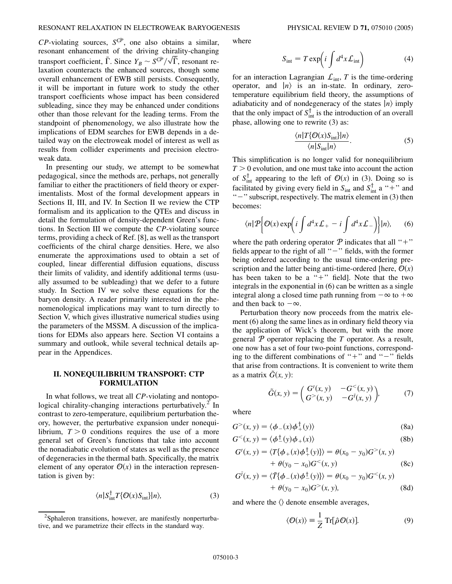*CP*-violating sources,  $S^{QP}$ , one also obtains a similar, resonant enhancement of the driving chirality-changing transport coefficient,  $\overline{\Gamma}$ . Since  $Y_B \sim S^{CP}/\sqrt{\overline{\Gamma}}$ .<br>-<br>-.<br>-<br>7  $\sqrt{\bar{\Gamma}}$ , resonant relaxation counteracts the enhanced sources, though some overall enhancement of EWB still persists. Consequently, it will be important in future work to study the other transport coefficients whose impact has been considered subleading, since they may be enhanced under conditions other than those relevant for the leading terms. From the standpoint of phenomenology, we also illustrate how the implications of EDM searches for EWB depends in a detailed way on the electroweak model of interest as well as results from collider experiments and precision electroweak data.

In presenting our study, we attempt to be somewhat pedagogical, since the methods are, perhaps, not generally familiar to either the practitioners of field theory or experimentalists. Most of the formal development appears in Sections II, III, and IV. In Section II we review the CTP formalism and its application to the QTEs and discuss in detail the formulation of density-dependent Green's functions. In Section III we compute the *CP*-violating source terms, providing a check of Ref. [8], as well as the transport coefficients of the chiral charge densities. Here, we also enumerate the approximations used to obtain a set of coupled, linear differential diffusion equations, discuss their limits of validity, and identify additional terms (usually assumed to be subleading) that we defer to a future study. In Section IV we solve these equations for the baryon density. A reader primarily interested in the phenomenological implications may want to turn directly to Section V, which gives illustrative numerical studies using the parameters of the MSSM. A discussion of the implications for EDMs also appears here. Section VI contains a summary and outlook, while several technical details appear in the Appendices.

# **II. NONEQUILIBRIUM TRANSPORT: CTP FORMULATION**

In what follows, we treat all *CP*-violating and nontopological chirality-changing interactions perturbatively.<sup>2</sup> In contrast to zero-temperature, equilibrium perturbation theory, however, the perturbative expansion under nonequilibrium,  $T > 0$  conditions requires the use of a more general set of Green's functions that take into account the nonadiabatic evolution of states as well as the presence of degeneracies in the thermal bath. Specifically, the matrix element of any operator  $O(x)$  in the interaction representation is given by:

$$
\langle n|S_{\text{int}}^{\dagger}T\{\mathcal{O}(x)S_{\text{int}}\}|n\rangle,\tag{3}
$$

where

$$
S_{\rm int} = T \exp \left( i \int d^4 x \mathcal{L}_{\rm int} \right) \tag{4}
$$

for an interaction Lagrangian  $\mathcal{L}_{int}$ , *T* is the time-ordering operator, and  $|n\rangle$  is an in-state. In ordinary, zerotemperature equilibrium field theory, the assumptions of adiabaticity and of nondegeneracy of the states  $|n\rangle$  imply that the only impact of  $S_{\text{int}}^{\dagger}$  is the introduction of an overall phase, allowing one to rewrite (3) as:

$$
\frac{\langle n|T\{\mathcal{O}(x)S_{\rm int}\}|n\rangle}{\langle n|S_{\rm int}|n\rangle}.
$$
 (5)

This simplification is no longer valid for nonequilibrium *T >* 0 evolution, and one must take into account the action of  $S_{int}^{\dagger}$  appearing to the left of  $\mathcal{O}(x)$  in (3). Doing so is facilitated by giving every field in  $S_{int}$  and  $S_{int}^{\dagger}$  a "+" and " $-$ " subscript, respectively. The matrix element in (3) then becomes:

$$
\langle n| \mathcal{P} \Big\{ \mathcal{O}(x) \exp \Big( i \int d^4 x \mathcal{L}_+ - i \int d^4 x \mathcal{L}_- \Big) \Big\} |n\rangle, \qquad (6)
$$

where the path ordering operator  $\mathcal P$  indicates that all "+" fields appear to the right of all " $-$ " fields, with the former being ordered according to the usual time-ordering prescription and the latter being anti-time-ordered [here,  $O(x)$ has been taken to be a " $+$ " field]. Note that the two integrals in the exponential in (6) can be written as a single integral along a closed time path running from  $-\infty$  to  $+\infty$ and then back to  $-\infty$ .

Perturbation theory now proceeds from the matrix element (6) along the same lines as in ordinary field theory via the application of Wick's theorem, but with the more general P operator replacing the *T* operator. As a result, one now has a set of four two-point functions, corresponding to the different combinations of " $+$ " and " $-$ " fields that arise from contractions. It is convenient to write them as a matrix  $\tilde{G}(x, y)$ :

$$
\tilde{G}(x, y) = \begin{pmatrix} G^{t}(x, y) & -G^{<}(x, y) \\ G^{>}(x, y) & -G^{\bar{t}}(x, y) \end{pmatrix}, \tag{7}
$$

where

$$
G^{>}(x, y) = \langle \phi_{-}(x)\phi_{+}^{\dagger}(y) \rangle \tag{8a}
$$

$$
G^{<}(x, y) = \langle \phi^{\dagger}(y)\phi_{+}(x)\rangle
$$
 (8b)

$$
G^{t}(x, y) = \langle T\{\phi_{+}(x)\phi_{+}^{\dagger}(y)\}\rangle = \theta(x_{0} - y_{0})G^{>}(x, y)
$$
  
+  $\theta(y_{0} - x_{0})G^{<}(x, y)$  (8c)

$$
G^{\bar{t}}(x, y) = \langle \bar{T} \{ \phi_{-}(x) \phi_{-}^{\dagger}(y) \} \rangle = \theta(x_0 - y_0) G^{<}(x, y) + \theta(y_0 - x_0) G^{>}(x, y),
$$
(8d)

and where the  $\langle \rangle$  denote ensemble averages,

$$
\langle \mathcal{O}(x) \rangle \equiv \frac{1}{Z} \operatorname{Tr}[\hat{\rho} \mathcal{O}(x)]. \tag{9}
$$

<sup>&</sup>lt;sup>2</sup>Sphaleron transitions, however, are manifestly nonperturba-<br>  $\langle \mathcal{O}(x) \rangle = \frac{1}{7} \text{Tr}[\hat{\rho} \mathcal{O}(x)]$ . (9) tive, and we parametrize their effects in the standard way.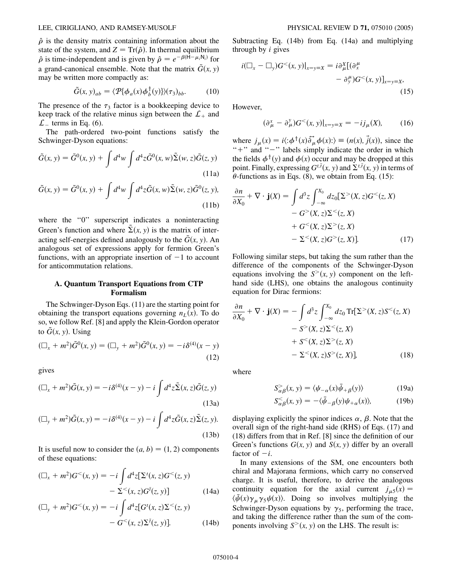$\hat{\rho}$  is the density matrix containing information about the state of the system, and  $Z = Tr(\hat{\rho})$ . In thermal equilibrium  $\hat{\rho}$  is time-independent and is given by  $\hat{\rho} = e^{-\beta(H - \mu_i N_i)}$  for a grand-canonical ensemble. Note that the matrix  $\tilde{G}(x, y)$ may be written more compactly as:

$$
\tilde{G}(x, y)_{ab} = \langle \mathcal{P}\{\phi_a(x)\phi_b^{\dagger}(y)\}\rangle(\tau_3)_{bb}.\tag{10}
$$

The presence of the  $\tau_3$  factor is a bookkeeping device to keep track of the relative minus sign between the  $\mathcal{L}_+$  and  $\mathcal{L}_{-}$  terms in Eq. (6).

The path-ordered two-point functions satisfy the Schwinger-Dyson equations:

$$
\tilde{G}(x, y) = \tilde{G}^0(x, y) + \int d^4w \int d^4z \tilde{G}^0(x, w)\tilde{\Sigma}(w, z)\tilde{G}(z, y)
$$
\n(11a)

$$
\tilde{G}(x, y) = \tilde{G}^0(x, y) + \int d^4w \int d^4z \tilde{G}(x, w)\tilde{\Sigma}(w, z)\tilde{G}^0(z, y),
$$
\n(11b)

where the "0" superscript indicates a noninteracting Green's function and where  $\tilde{\Sigma}(x, y)$  is the matrix of interacting self-energies defined analogously to the  $\tilde{G}(x, y)$ . An analogous set of expressions apply for fermion Green's functions, with an appropriate insertion of  $-1$  to account for anticommutation relations.

## **A. Quantum Transport Equations from CTP Formalism**

The Schwinger-Dyson Eqs. (11) are the starting point for obtaining the transport equations governing  $n<sub>L</sub>(x)$ . To do so, we follow Ref. [8] and apply the Klein-Gordon operator to  $\tilde{G}(x, y)$ . Using

$$
(\Box_x + m^2)\tilde{G}^0(x, y) = (\Box_y + m^2)\tilde{G}^0(x, y) = -i\delta^{(4)}(x - y)
$$
\n(12)

gives

$$
(\Box_x + m^2)\tilde{G}(x, y) = -i\delta^{(4)}(x - y) - i \int d^4z \tilde{\Sigma}(x, z)\tilde{G}(z, y)
$$
\n(13a)

$$
(\Box_y + m^2)\tilde{G}(x, y) = -i\delta^{(4)}(x - y) - i \int d^4z \tilde{G}(x, z)\tilde{\Sigma}(z, y).
$$
\n(13b)

It is useful now to consider the  $(a, b) = (1, 2)$  components of these equations:

$$
(\Box_x + m^2)G^<(x, y) = -i \int d^4z [\Sigma^t(x, z)G^<(z, y) - \Sigma^<(x, z)G^{\bar{t}}(z, y)] \qquad (14a)
$$

$$
(\Box_y + m^2)G^<(x, y) = -i \int d^4z [G^t(x, z) \Sigma^<(z, y) - G^<(x, z) \Sigma^{\bar{t}}(z, y)].
$$
 (14b)

Subtracting Eq. (14b) from Eq. (14a) and multiplying through by *i* gives

$$
i(\Box_x - \Box_y)G^<(x, y)|_{x=y=X} = i\partial^X_\mu [(\partial_x^\mu - \partial_y^\mu)G^<(x, y)]_{x=y=X},
$$
  

$$
- \partial_y^\mu)G^<(x, y)|_{x=y=X},
$$
 (15)

However,

$$
(\partial_{\mu}^{x} - \partial_{\mu}^{y})G^{<}(x, y)|_{x=y=X} = -ij_{\mu}(X), \qquad (16)
$$

where  $j_{\mu}(x) = i \langle : \phi^{\dagger}(x) \overrightarrow{\phi}_{\mu} \phi(x) : \rangle \equiv (n(x), \overrightarrow{j}(x)),$  since the " $'$ "' and " $'$ "' labels simply indicate the order in which the fields  $\phi^{\dagger}(y)$  and  $\phi(x)$  occur and may be dropped at this point. Finally, expressing  $G^{t,\bar{t}}(x, y)$  and  $\Sigma^{t,\bar{t}}(x, y)$  in terms of  $\theta$ -functions as in Eqs. (8), we obtain from Eq. (15):

$$
\frac{\partial n}{\partial X_0} + \nabla \cdot \mathbf{j}(X) = \int d^3 z \int_{-\infty}^{X_0} dz_0 \left[\Sigma^>(X, z) G^<(z, X)\right]
$$

$$
- G^>(X, z) \Sigma^<(z, X)
$$

$$
+ G^<(X, z) \Sigma^>(z, X)
$$

$$
- \Sigma^<(X, z) G^>(z, X) \tag{17}
$$

Following similar steps, but taking the sum rather than the difference of the components of the Schwinger-Dyson equations involving the  $S^>(x, y)$  component on the lefthand side (LHS), one obtains the analogous continuity equation for Dirac fermions:

$$
\frac{\partial n}{\partial X_0} + \nabla \cdot \mathbf{j}(X) = -\int d^3 z \int_{-\infty}^{X_0} dz_0 \operatorname{Tr}[\Sigma^>(X, z)S^<(z, X) \n- S^>(X, z)\Sigma^<(z, X) \n+ S^<(X, z)\Sigma^>(z, X) \n- \Sigma^<(X, z)S^>(z, X)], \tag{18}
$$

where

$$
S_{\alpha\beta}^{>}(x, y) = \langle \psi_{-\alpha}(x)\bar{\psi}_{+\beta}(y) \rangle \tag{19a}
$$

$$
S_{\alpha\beta}^<(x, y) = -\langle \bar{\psi}_{-\beta}(y)\psi_{+\alpha}(x)\rangle, \tag{19b}
$$

displaying explicitly the spinor indices  $\alpha$ ,  $\beta$ . Note that the overall sign of the right-hand side (RHS) of Eqs. (17) and (18) differs from that in Ref. [8] since the definition of our Green's functions  $G(x, y)$  and  $S(x, y)$  differ by an overall factor of  $-i$ .

In many extensions of the SM, one encounters both chiral and Majorana fermions, which carry no conserved charge. It is useful, therefore, to derive the analogous continuity equation for the axial current  $j_{\mu 5}(x) =$  $\langle \bar{\psi}(x) \gamma_{\mu} \gamma_5 \psi(x) \rangle$ . Doing so involves multiplying the Schwinger-Dyson equations by  $\gamma_5$ , performing the trace, and taking the difference rather than the sum of the components involving  $S<sup>></sup>(x, y)$  on the LHS. The result is: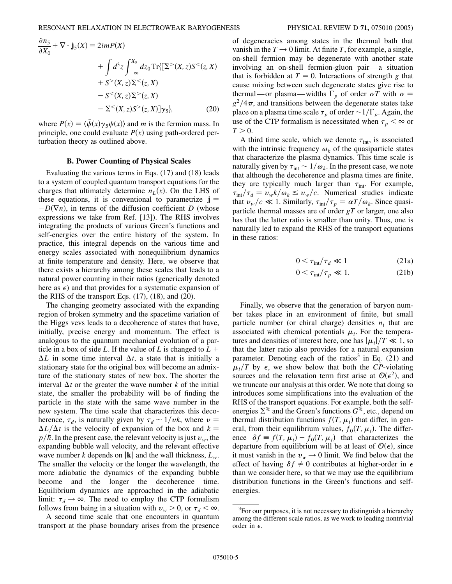$$
\frac{\partial n_5}{\partial X_0} + \nabla \cdot \mathbf{j}_5(X) = 2imP(X)
$$
  
+ 
$$
\int d^3z \int_{-\infty}^{X_0} dz_0 \operatorname{Tr} \{[\Sigma^>(X, z)S^<(z, X) + S^>(X, z) \Sigma^<(z, X) - S^<(X, z) \Sigma^>(z, X) - \Sigma^<(X, z)S^>(z, X)]\gamma_5\},
$$
 (20)

where  $P(x) = \langle \bar{\psi}(x) \gamma_5 \psi(x) \rangle$  and *m* is the fermion mass. In principle, one could evaluate  $P(x)$  using path-ordered perturbation theory as outlined above.

### **B. Power Counting of Physical Scales**

Evaluating the various terms in Eqs. (17) and (18) leads to a system of coupled quantum transport equations for the charges that ultimately determine  $n_L(x)$ . On the LHS of these equations, it is conventional to parametrize  $\mathbf{i} =$  $-D(\nabla n)$ , in terms of the diffusion coefficient *D* (whose expressions we take from Ref. [13]). The RHS involves integrating the products of various Green's functions and self-energies over the entire history of the system. In practice, this integral depends on the various time and energy scales associated with nonequilibrium dynamics at finite temperature and density. Here, we observe that there exists a hierarchy among these scales that leads to a natural power counting in their ratios (generically denoted here as  $\epsilon$ ) and that provides for a systematic expansion of the RHS of the transport Eqs.  $(17)$ ,  $(18)$ , and  $(20)$ .

The changing geometry associated with the expanding region of broken symmetry and the spacetime variation of the Higgs vevs leads to a decoherence of states that have, initially, precise energy and momentum. The effect is analogous to the quantum mechanical evolution of a particle in a box of side L. If the value of L is changed to  $L +$  $\Delta L$  in some time interval  $\Delta t$ , a state that is initially a stationary state for the original box will become an admixture of the stationary states of new box. The shorter the interval  $\Delta t$  or the greater the wave number  $k$  of the initial state, the smaller the probability will be of finding the particle in the state with the same wave number in the new system. The time scale that characterizes this decoherence,  $\tau_d$ , is naturally given by  $\tau_d \sim 1/vk$ , where  $v =$  $\Delta L/\Delta t$  is the velocity of expansion of the box and  $k =$  $p/\hbar$ . In the present case, the relevant velocity is just  $v_w$ , the expanding bubble wall velocity, and the relevant effective wave number *k* depends on  $|\mathbf{k}|$  and the wall thickness,  $L_w$ . The smaller the velocity or the longer the wavelength, the more adiabatic the dynamics of the expanding bubble become and the longer the decoherence time. Equilibrium dynamics are approached in the adiabatic limit:  $\tau_d \rightarrow \infty$ . The need to employ the CTP formalism follows from being in a situation with  $v_w > 0$ , or  $\tau_d < \infty$ .

A second time scale that one encounters in quantum transport at the phase boundary arises from the presence of degeneracies among states in the thermal bath that vanish in the  $T \rightarrow 0$  limit. At finite *T*, for example, a single, on-shell fermion may be degenerate with another state involving an on-shell fermion-gluon pair—a situation that is forbidden at  $T = 0$ . Interactions of strength *g* that cause mixing between such degenerate states give rise to thermal—or plasma—widths  $\Gamma_p$  of order  $\alpha T$  with  $\alpha =$  $g^2/4\pi$ , and transitions between the degenerate states take place on a plasma time scale  $\tau_p$  of order  $\sim 1/\Gamma_p$ . Again, the use of the CTP formalism is necessitated when  $\tau_p < \infty$  or  $T > 0$ .

A third time scale, which we denote  $\tau_{\text{int}}$ , is associated with the intrinsic frequency  $\omega_k$  of the quasiparticle states that characterize the plasma dynamics. This time scale is naturally given by  $\tau_{int} \sim 1/\omega_k$ . In the present case, we note that although the decoherence and plasma times are finite, they are typically much larger than  $\tau_{int}$ . For example,  $\tau_{\text{int}}/\tau_d = v_w k/\omega_k \le v_w/c$ . Numerical studies indicate that  $v_w/c \ll 1$ . Similarly,  $\tau_{int}/\tau_p = \alpha T/\omega_k$ . Since quasiparticle thermal masses are of order *gT* or larger, one also has that the latter ratio is smaller than unity. Thus, one is naturally led to expand the RHS of the transport equations in these ratios:

$$
0 < \tau_{\text{int}}/\tau_d \ll 1 \tag{21a}
$$

$$
0 < \tau_{\text{int}}/\tau_p \ll 1. \tag{21b}
$$

Finally, we observe that the generation of baryon number takes place in an environment of finite, but small particle number (or chiral charge) densities  $n_i$  that are associated with chemical potentials  $\mu_i$ . For the temperatures and densities of interest here, one has  $|\mu_i|/T \ll 1$ , so that the latter ratio also provides for a natural expansion parameter. Denoting each of the ratios<sup>3</sup> in Eq.  $(21)$  and  $\mu_i/T$  by  $\epsilon$ , we show below that both the *CP*-violating sources and the relaxation term first arise at  $\mathcal{O}(\epsilon^2)$ , and we truncate our analysis at this order. We note that doing so introduces some simplifications into the evaluation of the RHS of the transport equations. For example, both the selfenergies  $\Sigma^{\geq}$  and the Green's functions  $G^{\geq}$ , etc., depend on thermal distribution functions  $f(T, \mu_i)$  that differ, in general, from their equilibrium values,  $f_0(T, \mu_i)$ . The difference  $\delta f \equiv f(T, \mu_i) - f_0(T, \mu_i)$  that characterizes the departure from equilibrium will be at least of  $\mathcal{O}(\epsilon)$ , since it must vanish in the  $v_w \rightarrow 0$  limit. We find below that the effect of having  $\delta f \neq 0$  contributes at higher-order in  $\epsilon$ than we consider here, so that we may use the equilibrium distribution functions in the Green's functions and selfenergies.

<sup>&</sup>lt;sup>3</sup>For our purposes, it is not necessary to distinguish a hierarchy among the different scale ratios, as we work to leading nontrivial order in  $\epsilon$ .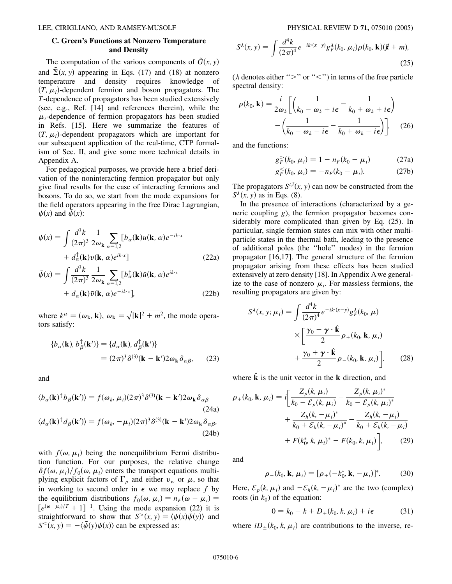# **C. Green's Functions at Nonzero Temperature and Density**

The computation of the various components of  $\tilde{G}(x, y)$ and  $\tilde{\Sigma}(x, y)$  appearing in Eqs. (17) and (18) at nonzero temperature and density requires knowledge of  $(T, \mu_i)$ -dependent fermion and boson propagators. The *T*-dependence of propagators has been studied extensively (see, e.g., Ref. [14] and references therein), while the  $\mu_i$ -dependence of fermion propagators has been studied in Refs. [15]. Here we summarize the features of  $(T, \mu_i)$ -dependent propagators which are important for our subsequent application of the real-time, CTP formalism of Sec. II, and give some more technical details in Appendix A.

For pedagogical purposes, we provide here a brief derivation of the noninteracting fermion propagator but only give final results for the case of interacting fermions and bosons. To do so, we start from the mode expansions for the field operators appearing in the free Dirac Lagrangian,  $\psi(x)$  and  $\overline{\psi}(x)$ :

$$
\psi(x) = \int \frac{d^3k}{(2\pi)^3} \frac{1}{2\omega_\mathbf{k}} \sum_{\alpha=1,2} [b_\alpha(\mathbf{k})u(\mathbf{k}, \alpha)e^{-ik \cdot x} + d_\alpha^\dagger(\mathbf{k})v(\mathbf{k}, \alpha)e^{ik \cdot x}]
$$
\n(22a)

$$
\bar{\psi}(x) = \int \frac{d^3k}{(2\pi)^3} \frac{1}{2\omega_{\mathbf{k}}} \sum_{\alpha=1,2} [b_{\alpha}^{\dagger}(\mathbf{k}) \bar{u}(\mathbf{k}, \alpha) e^{ik \cdot x} \n+ d_{\alpha}(\mathbf{k}) \bar{v}(\mathbf{k}, \alpha) e^{-ik \cdot x}],
$$
\n(22b)

where  $k^{\mu} = (\omega_{\mathbf{k}}, \mathbf{k}), \omega_{\mathbf{k}} = \sqrt{|\mathbf{k}|^2 + m^2}$ , the mode opera--------------------tors satisfy:

$$
\{b_{\alpha}(\mathbf{k}), b_{\beta}^{\dagger}(\mathbf{k}')\} = \{d_{\alpha}(\mathbf{k}), d_{\beta}^{\dagger}(\mathbf{k}')\}
$$

$$
= (2\pi)^{3} \delta^{(3)}(\mathbf{k} - \mathbf{k}') 2\omega_{\mathbf{k}} \delta_{\alpha\beta}, \qquad (23)
$$

and

$$
\langle b_{\alpha}(\mathbf{k})^{\dagger} b_{\beta}(\mathbf{k}') \rangle = f(\omega_k, \mu_i)(2\pi)^3 \delta^{(3)}(\mathbf{k} - \mathbf{k}') 2\omega_{\mathbf{k}} \delta_{\alpha\beta}
$$
\n(24a)\n
$$
\langle d_{\alpha}(\mathbf{k})^{\dagger} d_{\beta}(\mathbf{k}') \rangle = f(\omega_k, -\mu_i)(2\pi)^3 \delta^{(3)}(\mathbf{k} - \mathbf{k}') 2\omega_{\mathbf{k}} \delta_{\alpha\beta},
$$
\n(24b)

with  $f(\omega, \mu_i)$  being the nonequilibrium Fermi distribution function. For our purposes, the relative change  $\delta f(\omega, \mu_i) / f_0(\omega, \mu_i)$  enters the transport equations multiplying explicit factors of  $\Gamma_p$  and either  $v_w$  or  $\mu$ , so that in working to second order in  $\epsilon$  we may replace  $f$  by the equilibrium distributions  $f_0(\omega, \mu_i) = n_F(\omega - \mu_i)$  $[e^{(\omega - \mu_i)/T} + 1]^{-1}$ . Using the mode expansion (22) it is straightforward to show that  $S^{>}(x, y) = \langle \psi(x) \overline{\psi}(y) \rangle$  and  $S^{<}(x, y) = -\langle \bar{\psi}(y)\psi(x) \rangle$  can be expressed as:

$$
S^{\lambda}(x, y) = \int \frac{d^4k}{(2\pi)^4} e^{-ik \cdot (x-y)} g_F^{\lambda}(k_0, \mu_i) \rho(k_0, \mathbf{k}) (\not{k} + m),
$$
\n(25)

 $(\lambda$  denotes either ">" or "<") in terms of the free particle spectral density:

$$
\rho(k_0, \mathbf{k}) = \frac{i}{2\omega_k} \left[ \left( \frac{1}{k_0 - \omega_k + i\epsilon} - \frac{1}{k_0 + \omega_k + i\epsilon} \right) - \left( \frac{1}{k_0 - \omega_k - i\epsilon} - \frac{1}{k_0 + \omega_k - i\epsilon} \right) \right], \quad (26)
$$

and the functions:

$$
g_F^>(k_0, \mu_i) = 1 - n_F(k_0 - \mu_i)
$$
 (27a)

$$
g_F^<(k_0, \mu_i) = -n_F(k_0 - \mu_i). \tag{27b}
$$

The propagators  $S^{t,\bar{t}}(x, y)$  can now be constructed from the  $S^{\lambda}(x, y)$  as in Eqs. (8).

In the presence of interactions (characterized by a generic coupling *g*), the fermion propagator becomes considerably more complicated than given by Eq. (25). In particular, single fermion states can mix with other multiparticle states in the thermal bath, leading to the presence of additional poles (the ''hole'' modes) in the fermion propagator [16,17]. The general structure of the fermion propagator arising from these effects has been studied extensively at zero density [18]. In Appendix Awe generalize to the case of nonzero  $\mu_i$ . For massless fermions, the resulting propagators are given by:

$$
S^{\lambda}(x, y; \mu_i) = \int \frac{d^4k}{(2\pi)^4} e^{-ik \cdot (x-y)} g_F^{\lambda}(k_0, \mu)
$$

$$
\times \left[ \frac{\gamma_0 - \gamma \cdot \hat{\mathbf{k}}}{2} \rho_+(k_0, \mathbf{k}, \mu_i) + \frac{\gamma_0 + \gamma \cdot \hat{\mathbf{k}}}{2} \rho_-(k_0, \mathbf{k}, \mu_i) \right], \qquad (28)
$$

where  $\hat{\mathbf{k}}$  is the unit vector in the **k** direction, and

$$
\rho_{+}(k_{0}, \mathbf{k}, \mu_{i}) = i \left[ \frac{Z_{p}(k, \mu_{i})}{k_{0} - \mathcal{E}_{p}(k, \mu_{i})} - \frac{Z_{p}(k, \mu_{i})^{*}}{k_{0} - \mathcal{E}_{p}(k, \mu_{i})^{*}} + \frac{Z_{h}(k, -\mu_{i})^{*}}{k_{0} + \mathcal{E}_{h}(k, -\mu_{i})^{*}} - \frac{Z_{h}(k, -\mu_{i})}{k_{0} + \mathcal{E}_{h}(k, -\mu_{i})} + F(k_{0}^{*}, k, \mu_{i})^{*} - F(k_{0}, k, \mu_{i}) \right], \quad (29)
$$

and

$$
\rho_{-}(k_0, \mathbf{k}, \mu_i) = [\rho_{+}(-k_0^*, \mathbf{k}, -\mu_i)]^*.
$$
 (30)

Here,  $\mathcal{E}_p(k, \mu_i)$  and  $-\mathcal{E}_h(k, -\mu_i)^*$  are the two (complex) roots (in  $k_0$ ) of the equation:

$$
0 = k_0 - k + D_+(k_0, k, \mu_i) + i\epsilon \tag{31}
$$

where  $iD_{\pm}(k_0, k, \mu_i)$  are contributions to the inverse, re-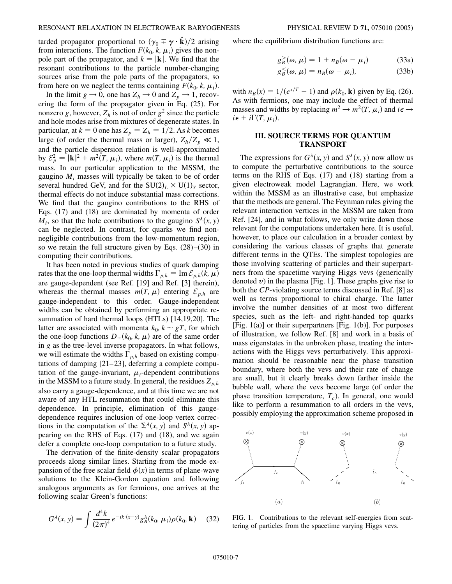tarded propagator proportional to  $(\gamma_0 \pm \gamma \cdot \hat{k})/2$  arising from interactions. The function  $F(k_0, k, \mu_i)$  gives the nonpole part of the propagator, and  $k = |\mathbf{k}|$ . We find that the resonant contributions to the particle number-changing sources arise from the pole parts of the propagators, so from here on we neglect the terms containing  $F(k_0, k, \mu_i)$ .

In the limit  $g \to 0$ , one has  $Z_h \to 0$  and  $Z_p \to 1$ , recovering the form of the propagator given in Eq. (25). For nonzero *g*, however,  $Z_h$  is not of order  $g^2$  since the particle and hole modes arise from mixtures of degenerate states. In particular, at  $k = 0$  one has  $Z_p = Z_h = 1/2$ . As *k* becomes large (of order the thermal mass or larger),  $Z_h/Z_p \ll 1$ , and the particle dispersion relation is well-approximated by  $\mathcal{E}_p^2 = |\mathbf{k}|^2 + m^2(T, \mu_i)$ , where  $m(T, \mu_i)$  is the thermal mass. In our particular application to the MSSM, the gaugino  $M_i$  masses will typically be taken to be of order several hundred GeV, and for the  $SU(2)_L \times U(1)_Y$  sector, thermal effects do not induce substantial mass corrections. We find that the gaugino contributions to the RHS of Eqs. (17) and (18) are dominated by momenta of order  $M_i$ , so that the hole contributions to the gaugino  $S^{\lambda}(x, y)$ can be neglected. In contrast, for quarks we find nonnegligible contributions from the low-momentum region, so we retain the full structure given by Eqs. (28)–(30) in computing their contributions.

It has been noted in previous studies of quark damping rates that the one-loop thermal widths  $\Gamma_{p,h} = \text{Im} \, \mathcal{E}_{p,h}(k,\mu)$ are gauge-dependent (see Ref. [19] and Ref. [3] therein), whereas the thermal masses  $m(T, \mu)$  entering  $\mathcal{E}_{p,h}$  are gauge-independent to this order. Gauge-independent widths can be obtained by performing an appropriate resummation of hard thermal loops (HTLs) [14,19,20]. The latter are associated with momenta  $k_0$ ,  $k \sim gT$ , for which the one-loop functions  $D_{\pm}(k_0, k, \mu)$  are of the same order in *g* as the tree-level inverse propagators. In what follows, we will estimate the widths  $\Gamma_{p,h}$  based on existing computations of damping [21–23], deferring a complete computation of the gauge-invariant,  $\mu_i$ -dependent contributions in the MSSM to a future study. In general, the residues  $Z_{p,h}$ also carry a gauge-dependence, and at this time we are not aware of any HTL resummation that could eliminate this dependence. In principle, elimination of this gaugedependence requires inclusion of one-loop vertex corrections in the computation of the  $\Sigma^{\lambda}(x, y)$  and  $S^{\lambda}(x, y)$  appearing on the RHS of Eqs. (17) and (18), and we again defer a complete one-loop computation to a future study.

The derivation of the finite-density scalar propagators proceeds along similar lines. Starting from the mode expansion of the free scalar field  $\phi(x)$  in terms of plane-wave solutions to the Klein-Gordon equation and following analogous arguments as for fermions, one arrives at the following scalar Green's functions:

$$
G^{\lambda}(x, y) = \int \frac{d^4k}{(2\pi)^4} e^{-ik \cdot (x-y)} g_B^{\lambda}(k_0, \mu_i) \rho(k_0, \mathbf{k}) \tag{32}
$$

where the equilibrium distribution functions are:

$$
g_B^>(\omega, \mu) = 1 + n_B(\omega - \mu_i)
$$
 (33a)

$$
g_B^<(\omega, \mu) = n_B(\omega - \mu_i),\tag{33b}
$$

with  $n_B(x) = 1/(e^{x/T} - 1)$  and  $\rho(k_0, \mathbf{k})$  given by Eq. (26). As with fermions, one may include the effect of thermal masses and widths by replacing  $m^2 \to m^2(T, \mu_i)$  and  $i\epsilon \to$  $i\epsilon + i\Gamma(T, \mu_i).$ 

## **III. SOURCE TERMS FOR QUANTUM TRANSPORT**

The expressions for  $G^{\lambda}(x, y)$  and  $S^{\lambda}(x, y)$  now allow us to compute the perturbative contributions to the source terms on the RHS of Eqs. (17) and (18) starting from a given electroweak model Lagrangian. Here, we work within the MSSM as an illustrative case, but emphasize that the methods are general. The Feynman rules giving the relevant interaction vertices in the MSSM are taken from Ref. [24], and in what follows, we only write down those relevant for the computations undertaken here. It is useful, however, to place our calculation in a broader context by considering the various classes of graphs that generate different terms in the QTEs. The simplest topologies are those involving scattering of particles and their superpartners from the spacetime varying Higgs vevs (generically denoted  $v$ ) in the plasma [Fig. 1]. These graphs give rise to both the *CP*-violating source terms discussed in Ref. [8] as well as terms proportional to chiral charge. The latter involve the number densities of at most two different species, such as the left- and right-handed top quarks [Fig.  $1(a)$ ] or their superpartners [Fig.  $1(b)$ ]. For purposes of illustration, we follow Ref. [8] and work in a basis of mass eigenstates in the unbroken phase, treating the interactions with the Higgs vevs perturbatively. This approximation should be reasonable near the phase transition boundary, where both the vevs and their rate of change are small, but it clearly breaks down farther inside the bubble wall, where the vevs become large (of order the phase transition temperature,  $T_c$ ). In general, one would like to perform a resummation to all orders in the vevs, possibly employing the approximation scheme proposed in



FIG. 1. Contributions to the relevant self-energies from scattering of particles from the spacetime varying Higgs vevs.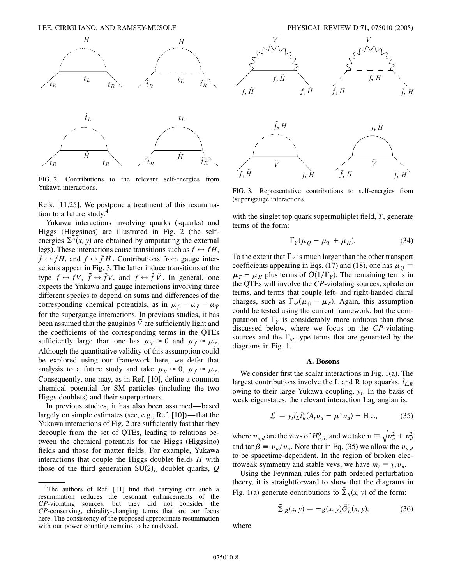

FIG. 2. Contributions to the relevant self-energies from Yukawa interactions.

Refs. [11,25]. We postpone a treatment of this resummation to a future study.<sup>4</sup>

Yukawa interactions involving quarks (squarks) and Higgs (Higgsinos) are illustrated in Fig. 2 (the selfenergies  $\sum_{i}^{\lambda}(x, y)$  are obtained by amputating the external legs). These interactions cause transitions such as  $f \leftrightarrow fH$ ,  $\tilde{f} \leftrightarrow \tilde{f}H$ , and  $f \leftrightarrow \tilde{f}H$ . Contributions from gauge interactions appear in Fig. 3. The latter induce transitions of the type  $f \leftrightarrow fV$ ,  $\tilde{f} \leftrightarrow \tilde{f}V$ , and  $f \leftrightarrow \tilde{f}V$ . In general, one expects the Yukawa and gauge interactions involving three different species to depend on sums and differences of the corresponding chemical potentials, as in  $\mu_f - \mu_{\tilde{f}} - \mu_{\tilde{V}}$ for the supergauge interactions. In previous studies, it has been assumed that the gauginos  $\tilde{V}$  are sufficiently light and the coefficients of the corresponding terms in the QTEs sufficiently large than one has  $\mu_{\tilde{V}} \approx 0$  and  $\mu_f \approx \mu_{\tilde{f}}$ . Although the quantitative validity of this assumption could be explored using our framework here, we defer that analysis to a future study and take  $\mu_{\tilde{V}} \approx 0$ ,  $\mu_f \approx \mu_{\tilde{f}}$ . Consequently, one may, as in Ref. [10], define a common chemical potential for SM particles (including the two Higgs doublets) and their superpartners.

In previous studies, it has also been assumed—based largely on simple estimates (see, e.g., Ref. [10])—that the Yukawa interactions of Fig. 2 are sufficiently fast that they decouple from the set of QTEs, leading to relations between the chemical potentials for the Higgs (Higgsino) fields and those for matter fields. For example, Yukawa interactions that couple the Higgs doublet fields *H* with those of the third generation  $SU(2)_L$  doublet quarks,  $Q$ 



FIG. 3. Representative contributions to self-energies from (super)gauge interactions.

with the singlet top quark supermultiplet field, *T*, generate terms of the form:

$$
\Gamma_Y(\mu_Q - \mu_T + \mu_H). \tag{34}
$$

To the extent that  $\Gamma_Y$  is much larger than the other transport coefficients appearing in Eqs. (17) and (18), one has  $\mu_0 =$  $\mu_T - \mu_H$  plus terms of  $\mathcal{O}(1/\Gamma_Y)$ . The remaining terms in the QTEs will involve the *CP*-violating sources, sphaleron terms, and terms that couple left- and right-handed chiral charges, such as  $\Gamma_M(\mu_Q - \mu_T)$ . Again, this assumption could be tested using the current framework, but the computation of  $\Gamma_Y$  is considerably more arduous than those discussed below, where we focus on the *CP*-violating sources and the  $\Gamma_M$ -type terms that are generated by the diagrams in Fig. 1.

#### **A. Bosons**

We consider first the scalar interactions in Fig. 1(a). The largest contributions involve the L and R top squarks,  $\tilde{t}_{LR}$ owing to their large Yukawa coupling, *yt*. In the basis of weak eigenstates, the relevant interaction Lagrangian is:

$$
\mathcal{L} = y_t \tilde{t}_L \tilde{t}_R^* (A_t v_u - \mu^* v_d) + \text{H.c.}, \tag{35}
$$

where  $v_{u,d}$  are the vevs of  $H_{u,d}^0$ , and we take  $v \equiv$  $v_{u}^{2} + v_{d}^{2}$  $\overline{a}$ and tan $\beta \equiv v_u/v_d$ . Note that in Eq. (35) we allow the  $v_{ud}$ to be spacetime-dependent. In the region of broken electroweak symmetry and stable vevs, we have  $m_t = y_t v_u$ .

Using the Feynman rules for path ordered perturbation theory, it is straightforward to show that the diagrams in Fig. 1(a) generate contributions to  $\tilde{\Sigma}_R(x, y)$  of the form:

$$
\tilde{\Sigma}_R(x, y) = -g(x, y)\tilde{G}_L^0(x, y),\tag{36}
$$

where

<sup>&</sup>lt;sup>4</sup>The authors of Ref. [11] find that carrying out such a resummation reduces the resonant enhancements of the *CP*-violating sources, but they did not consider the *CP*-conserving, chirality-changing terms that are our focus here. The consistency of the proposed approximate resummation with our power counting remains to be analyzed.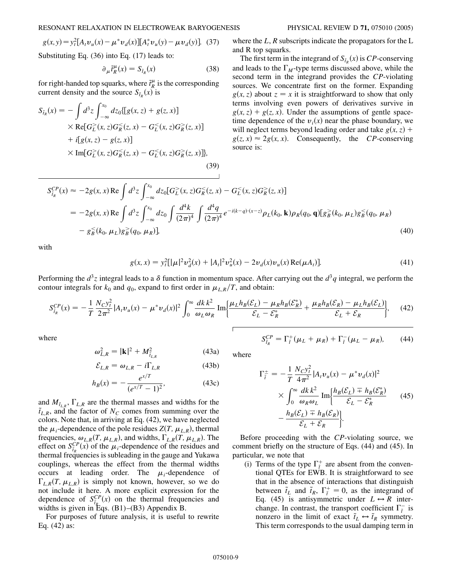$$
g(x, y) = y_t^2 [A_t v_u(x) - \mu^* v_d(x)][A_t^* v_u(y) - \mu v_d(y)].
$$
 (37)

Substituting Eq. (36) into Eq. (17) leads to:

$$
\partial_{\mu}\tilde{t}_{R}^{\mu}(x) = S_{\tilde{t}_{R}}(x) \tag{38}
$$

for right-handed top squarks, where  $\tilde{t}_R^\mu$  is the corresponding current density and the source  $S_{\tilde{t}_R}(x)$  is

$$
S_{\tilde{t}_R}(x) = -\int d^3z \int_{-\infty}^{x_0} dz_0 \{ [g(x, z) + g(z, x)]
$$
  
 
$$
\times \text{Re}[G_L^>(x, z)G_R^<(z, x) - G_L^<(x, z)G_R^>(z, x)]
$$
  
 
$$
+ i[g(x, z) - g(z, x)]
$$
  
 
$$
\times \text{Im}[G_L^>(x, z)G_R^<(z, x) - G_L^<(x, z)G_R^>(z, x)] \},
$$
  
(39)

where the *L*, *R* subscripts indicate the propagators for the L and R top squarks.

The first term in the integrand of  $S_{\tilde{t}_R}(x)$  is *CP*-conserving and leads to the  $\Gamma_M$ -type terms discussed above, while the second term in the integrand provides the *CP*-violating sources. We concentrate first on the former. Expanding  $g(x, z)$  about  $z = x$  it is straightforward to show that only terms involving even powers of derivatives survive in  $g(x, z) + g(z, x)$ . Under the assumptions of gentle spacetime dependence of the  $v_i(x)$  near the phase boundary, we will neglect terms beyond leading order and take  $g(x, z)$  +  $g(z, x) \approx 2g(x, x)$ . Consequently, the *CP*-conserving source is:

$$
S_{\tilde{t}_R}^{CP}(x) \approx -2g(x, x) \operatorname{Re} \int d^3z \int_{-\infty}^{x_0} dz_0 [G_L^>(x, z)G_R^<(z, x) - G_L^<(x, z)G_R^>(z, x)]
$$
  
= -2g(x, x) \operatorname{Re} \int d^3z \int\_{-\infty}^{x\_0} dz\_0 \int \frac{d^4k}{(2\pi)^4} \int \frac{d^4q}{(2\pi)^4} e^{-i(k-q)\cdot(x-z)} \rho\_L(k\_0, \mathbf{k}) \rho\_R(q\_0, \mathbf{q}) [g\_B^>(k\_0, \mu\_L)g\_B^>(q\_0, \mu\_R)]  
- g\_B^<(k\_0, \mu\_L)g\_B^>(q\_0, \mu\_R)]. \tag{40}

with

$$
g(x, x) = y_t^2 [\mu|^2 v_d^2(x) + |A_t|^2 v_u^2(x) - 2v_d(x)v_u(x) \operatorname{Re}(\mu A_t)].
$$
\n(41)

Performing the  $d^3z$  integral leads to a  $\delta$  function in momentum space. After carrying out the  $d^3q$  integral, we perform the contour integrals for  $k_0$  and  $q_0$ , expand to first order in  $\mu_{L,R}/T$ , and obtain:

$$
S_{\tilde{t}_R}^{CP}(x) = -\frac{1}{T} \frac{N_C y_t^2}{2\pi^2} |A_t v_u(x) - \mu^* v_d(x)|^2 \int_0^\infty \frac{dk \, k^2}{\omega_L \omega_R} \operatorname{Im} \left\{ \frac{\mu_L h_B(\mathcal{E}_L) - \mu_R h_B(\mathcal{E}_R^*)}{\mathcal{E}_L - \mathcal{E}_R^*} + \frac{\mu_R h_B(\mathcal{E}_R) - \mu_L h_B(\mathcal{E}_L)}{\mathcal{E}_L + \mathcal{E}_R} \right\},\tag{42}
$$

where

$$
\omega_{L,R}^2 = |\mathbf{k}|^2 + M_{\tilde{t}_{L,R}}^2 \tag{43a}
$$

$$
\mathcal{E}_{L,R} = \omega_{L,R} - i\Gamma_{L,R} \tag{43b}
$$

$$
h_B(x) = -\frac{e^{x/T}}{(e^{x/T} - 1)^2},
$$
\n(43c)

and  $M_{\tilde{t}_{L,R}}$ ,  $\Gamma_{L,R}$  are the thermal masses and widths for the  $\tilde{t}_{L,R}$ , and the factor of  $N_c$  comes from summing over the colors. Note that, in arriving at Eq. (42), we have neglected the  $\mu_i$ -dependence of the pole residues  $Z(T, \mu_{L,R})$ , thermal frequencies,  $\omega_{L,R}(T, \mu_{L,R})$ , and widths,  $\Gamma_{L,R}(T, \mu_{L,R})$ . The effect on  $S_{\tilde{t}_R}^{CP}(x)$  of the  $\mu_i$ -dependence of the residues and thermal frequencies is subleading in the gauge and Yukawa couplings, whereas the effect from the thermal widths occurs at leading order. The  $\mu_i$ -dependence of  $\Gamma_{L,R}(T, \mu_{L,R})$  is simply not known, however, so we do not include it here. A more explicit expression for the dependence of  $S_{\tilde{t}_R}^{CP}(x)$  on the thermal frequencies and widths is given in Eqs.  $(B1)$ – $(B3)$  Appendix B.

For purposes of future analysis, it is useful to rewrite Eq. (42) as:

where

$$
\Gamma_{\tilde{t}}^{\pm} = -\frac{1}{T} \frac{N_C y_t^2}{4\pi^2} |A_t v_u(x) - \mu^* v_d(x)|^2
$$
  
 
$$
\times \int_0^{\infty} \frac{dk k^2}{\omega_R \omega_L} Im \left\{ \frac{h_B(\mathcal{E}_L) \mp h_B(\mathcal{E}_R^*)}{\mathcal{E}_L - \mathcal{E}_R^*} \right\}
$$
(45)  
 
$$
- \frac{h_B(\mathcal{E}_L) \mp h_B(\mathcal{E}_R)}{\mathcal{E}_L + \mathcal{E}_R}.
$$

*;* (44)

Before proceeding with the *CP*-violating source, we comment briefly on the structure of Eqs. (44) and (45). In particular, we note that

 $S_{\tilde{t}_R}^{CP} = \Gamma_{\tilde{t}}^+ (\mu_L + \mu_R) + \Gamma_{\tilde{t}}^- (\mu_L - \mu_R)$ 

(i) Terms of the type  $\Gamma_{\tilde{t}}^+$  are absent from the conventional QTEs for EWB. It is straightforward to see that in the absence of interactions that distinguish between  $\tilde{t}_L$  and  $\tilde{t}_R$ ,  $\Gamma^+_i = 0$ , as the integrand of Eq. (45) is antisymmetric under  $L \leftrightarrow R$  interchange. In contrast, the transport coefficient  $\Gamma_{\tilde{t}}^-$  is nonzero in the limit of exact  $\tilde{t}_L \leftrightarrow \tilde{t}_R$  symmetry. This term corresponds to the usual damping term in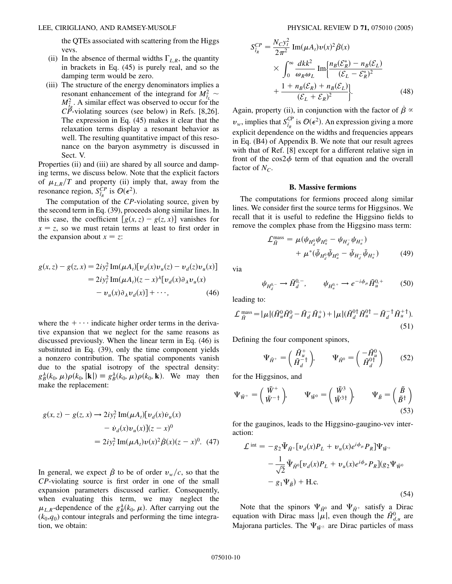the QTEs associated with scattering from the Higgs vevs.

- (ii) In the absence of thermal widths  $\Gamma_{L,R}$ , the quantity in brackets in Eq. (45) is purely real, and so the damping term would be zero.
- (iii) The structure of the energy denominators implies a resonant enhancement of the integrand for  $M_{\tilde{t}_L}^2 \sim$  $M_{\tilde{L}R}^2$ . A similar effect was observed to occur for the  $\widehat{CP}$ -violating sources (see below) in Refs. [8,26]. The expression in Eq. (45) makes it clear that the relaxation terms display a resonant behavior as well. The resulting quantitative impact of this resonance on the baryon asymmetry is discussed in Sect. V.

Properties (ii) and (iii) are shared by all source and damping terms, we discuss below. Note that the explicit factors of  $\mu_{L,R}/T$  and property (ii) imply that, away from the resonance region,  $S_{\tilde{t}_R}^{CP}$  is  $\mathcal{O}(\epsilon^2)$ .

The computation of the *CP*-violating source, given by the second term in Eq. (39), proceeds along similar lines. In this case, the coefficient  $[g(x, z) - g(z, x)]$  vanishes for  $x = z$ , so we must retain terms at least to first order in the expansion about  $x = z$ :

$$
g(x, z) - g(z, x) = 2iy_t^2 Im(\mu A_t)[v_d(x)v_u(z) - v_d(z)v_u(x)]
$$
  
=  $2iy_t^2 Im(\mu A_t)(z - x)^{\lambda}[v_d(x)\partial_{\lambda}v_u(x) - v_u(x)\partial_{\lambda}v_d(x)] + \cdots,$  (46)

where the  $+\cdots$  indicate higher order terms in the derivative expansion that we neglect for the same reasons as discussed previously. When the linear term in Eq. (46) is substituted in Eq. (39), only the time component yields a nonzero contribution. The spatial components vanish due to the spatial isotropy of the spectral density:  $g_B^{\lambda}(k_0, \mu) \rho(k_0, |\mathbf{k}|) \equiv g_B^{\lambda}(k_0, \mu) \rho(k_0, \mathbf{k})$ . We may then make the replacement:

$$
g(x, z) - g(z, x) \rightarrow 2i y_t^2 \operatorname{Im}(\mu A_t) [v_d(x) v_u(x)
$$

$$
- v_d(x) v_u(x) ](z - x)^0
$$

$$
= 2i y_t^2 \operatorname{Im}(\mu A_t) v(x)^2 \dot{\beta}(x) (z - x)^0. (47)
$$

In general, we expect  $\beta$  to be of order  $v_w/c$ , so that the *CP*-violating source is first order in one of the small expansion parameters discussed earlier. Consequently, when evaluating this term, we may neglect the  $\mu_{L,R}$ -dependence of the  $g_B^{\lambda}(k_0, \mu)$ . After carrying out the  $(k_0, q_0)$  contour integrals and performing the time integration, we obtain:

$$
S_{\tilde{t}_R}^{CP} = \frac{N_C y_t^2}{2\pi^2} \operatorname{Im}(\mu A_t) v(x)^2 \dot{\beta}(x)
$$
  
 
$$
\times \int_0^\infty \frac{dk k^2}{\omega_R \omega_L} \operatorname{Im} \left\{ \frac{n_B(\mathcal{E}_R^*) - n_B(\mathcal{E}_L)}{(\mathcal{E}_L - \mathcal{E}_R^*)^2} + \frac{1 + n_B(\mathcal{E}_R) + n_B(\mathcal{E}_L)}{(\mathcal{E}_L + \mathcal{E}_R)^2} \right\}.
$$
 (48)

Again, property (ii), in conjunction with the factor of  $\dot{\beta} \propto$  $v_w$ , implies that  $S_{\tilde{t}_R}^{C_P}$  is  $\mathcal{O}(\epsilon^2)$ . An expression giving a more explicit dependence on the widths and frequencies appears in Eq. (B4) of Appendix B. We note that our result agrees with that of Ref. [8] except for a different relative sign in front of the  $\cos 2\phi$  term of that equation and the overall factor of  $N_C$ .

## **B. Massive fermions**

The computations for fermions proceed along similar lines. We consider first the source terms for Higgsinos. We recall that it is useful to redefine the Higgsino fields to remove the complex phase from the Higgsino mass term:

$$
\mathcal{L}_{\tilde{H}}^{\text{mass}} = \mu (\psi_{H_d^0} \psi_{H_u^0} - \psi_{H_d^-} \psi_{H_u^+}) \n+ \mu^* (\bar{\psi}_{H_d^0} \bar{\psi}_{H_u^0} - \bar{\psi}_{H_d^-} \bar{\psi}_{H_u^+})
$$
\n(49)

via

 $\psi_{H_d^{0,-}} \to \tilde{H}_d^{0,-}, \qquad \psi_{H_u^{0,+}} \to e^{-i\phi_\mu} \tilde{H}_u^{0,+}$  $(50)$ 

leading to:

$$
\mathcal{L}_{\tilde{H}}^{\text{mass}} = |\mu| (\tilde{H}_u^0 \tilde{H}_d^0 - \tilde{H}_d^- \tilde{H}_u^+) + |\mu| (\tilde{H}_d^{0\dagger} \tilde{H}_u^{0\dagger} - \tilde{H}_d^{-\dagger} \tilde{H}_u^+) .
$$
\n(51)

Defining the four component spinors,

$$
\Psi_{\tilde{H}^+} = \begin{pmatrix} \tilde{H}_u^+ \\ \tilde{H}_d^- \end{pmatrix}, \qquad \Psi_{\tilde{H}^0} = \begin{pmatrix} -\tilde{H}_u^0 \\ \tilde{H}_d^{0\dagger} \end{pmatrix} \tag{52}
$$

for the Higgsinos, and

$$
\Psi_{\tilde{W}^+} = \begin{pmatrix} \tilde{W}^+ \\ \tilde{W}^- \end{pmatrix}, \qquad \Psi_{\tilde{W}^0} = \begin{pmatrix} \tilde{W}^3 \\ \tilde{W}^{3\dagger} \end{pmatrix}, \qquad \Psi_{\tilde{B}} = \begin{pmatrix} \tilde{B} \\ \tilde{B}^+ \end{pmatrix}
$$
\n(53)

for the gauginos, leads to the Higgsino-gaugino-vev interaction:

$$
\mathcal{L}^{\text{int}} = -g_2 \bar{\Psi}_{\tilde{H}^+} [v_d(x)P_L + v_u(x)e^{i\phi_\mu} P_R] \Psi_{\tilde{W}^+} - \frac{1}{\sqrt{2}} \bar{\Psi}_{\tilde{H}^0} [v_d(x)P_L + v_u(x)e^{i\phi_\mu} P_R] (g_2 \Psi_{\tilde{W}^0} - g_1 \Psi_{\tilde{B}}) + \text{H.c.}
$$
 (54)

Note that the spinors  $\Psi_{\tilde{H}^0}$  and  $\Psi_{\tilde{H}^+}$  satisfy a Dirac equation with Dirac mass  $|\mu|$ , even though the  $\tilde{H}_{d,u}^0$  are Majorana particles. The  $\Psi_{\tilde{W}^{\pm}}$  are Dirac particles of mass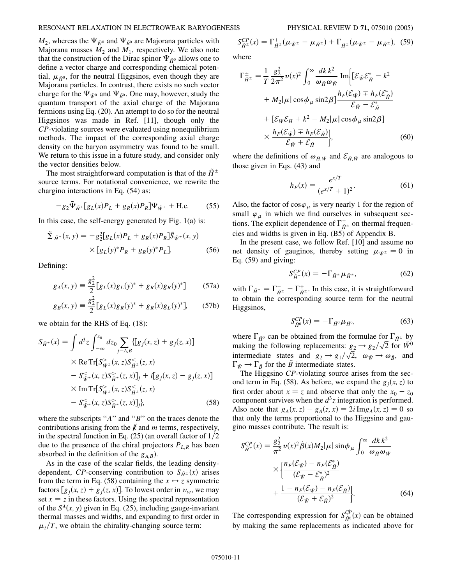#### RESONANT RELAXATION IN ELECTROWEAK BARYOGENESIS PHYSICAL REVIEW D **71,** 075010 (2005)

 $M_2$ , whereas the  $\Psi_{\tilde{W}^0}$  and  $\Psi_{\tilde{R}^0}$  are Majorana particles with Majorana masses  $M_2$  and  $M_1$ , respectively. We also note that the construction of the Dirac spinor  $\Psi_{\tilde{H}^0}$  allows one to define a vector charge and corresponding chemical potential,  $\mu_{\tilde{H}^0}$ , for the neutral Higgsinos, even though they are Majorana particles. In contrast, there exists no such vector charge for the  $\Psi_{\tilde{W}^0}$  and  $\Psi_{\tilde{B}^0}$ . One may, however, study the quantum transport of the axial charge of the Majorana fermions using Eq. (20). An attempt to do so for the neutral Higgsinos was made in Ref. [11], though only the *CP*-violating sources were evaluated using nonequilibrium methods. The impact of the corresponding axial charge density on the baryon asymmetry was found to be small. We return to this issue in a future study, and consider only the vector densities below.

The most straightforward computation is that of the  $H^{\pm}$ source terms. For notational convenience, we rewrite the chargino interactions in Eq. (54) as:

$$
-g_2\bar{\Psi}_{\tilde{H}^+}[g_L(x)P_L+g_R(x)P_R]\Psi_{\tilde{W}^+} + \text{H.c.} \tag{55}
$$

In this case, the self-energy generated by Fig. 1(a) is:

$$
\tilde{\Sigma}_{\tilde{H}^{\pm}}(x, y) = -g_2^2[g_L(x)P_L + g_R(x)P_R]\tilde{S}_{\tilde{W}^{\pm}}(x, y) \times [g_L(y)^*P_R + g_R(y)^*P_L].
$$
\n(56)

Defining:

$$
g_A(x, y) = \frac{g_2^2}{2} [g_L(x)g_L(y)^* + g_R(x)g_R(y)^*]
$$
 (57a)

$$
g_B(x, y) = \frac{g_2^2}{2} [g_L(x)g_R(y)^* + g_R(x)g_L(y)^*],
$$
 (57b)

we obtain for the RHS of Eq. (18):

$$
S_{\tilde{H}^{\pm}}(x) = \int d^3 z \int_{-\infty}^{x_0} dz_0 \sum_{j=A,B} \{ [g_j(x, z) + g_j(z, x)]
$$
  
× Re Tr[ $S_{\tilde{W}^{\pm}}^>(x, z) S_{\tilde{H}^{\pm}}^>(z, x)$   
-  $S_{\tilde{W}^{\pm}}^{\leq}(x, z) S_{\tilde{H}^{\pm}}^{\geq}(z, x) ]_j + i [g_j(x, z) - g_j(z, x)]$   
× Im Tr[ $S_{\tilde{W}^{\pm}}^{\geq}(x, z) S_{\tilde{H}^{\pm}}^{\geq}(z, x)$   
-  $S_{\tilde{W}^{\pm}}^{\leq}(x, z) S_{\tilde{H}^{\pm}}^{\geq}(z, x) ]_j \},$  (58)

where the subscripts "*A*" and "*B*" on the traces denote the contributions arising from the  $\cancel{k}$  and *m* terms, respectively, in the spectral function in Eq.  $(25)$  (an overall factor of  $1/2$ due to the presence of the chiral projectors  $P_{L,R}$  has been absorbed in the definition of the  $g_{A,B}$ ).

As in the case of the scalar fields, the leading densitydependent, *CP*-conserving contribution to  $S_{\tilde{H}^{\pm}}(x)$  arises from the term in Eq. (58) containing the  $x \leftrightarrow z$  symmetric factors  $[g_j(x, z) + g_j(z, x)]$ . To lowest order in  $v_w$ , we may set  $x = z$  in these factors. Using the spectral representation of the  $S^{\lambda}(x, y)$  given in Eq. (25), including gauge-invariant thermal masses and widths, and expanding to first order in  $\mu_i/T$ , we obtain the chirality-changing source term:

$$
S_{\tilde{H}^{\pm}}^{CP}(x) = \Gamma_{\tilde{H}^{\pm}}^{+}(\mu_{\tilde{W}^{\pm}} + \mu_{\tilde{H}^{\pm}}) + \Gamma_{\tilde{H}^{\pm}}^{-}(\mu_{\tilde{W}^{\pm}} - \mu_{\tilde{H}^{\pm}}), (59)
$$

where

$$
\Gamma_{\tilde{H}^{\pm}}^{\pm} = \frac{1}{T} \frac{g_2^2}{2\pi^2} \nu(x)^2 \int_0^{\infty} \frac{dk k^2}{\omega_{\tilde{H}} \omega_{\tilde{W}}} \operatorname{Im} \Biggl\{ \Bigl[ \mathcal{E}_{\tilde{W}} \mathcal{E}_{\tilde{H}}^* - k^2 \Bigr] \Biggr. \\ + M_2 |\mu| \cos \phi_{\mu} \sin 2\beta \Biggr] \frac{h_F(\mathcal{E}_{\tilde{W}}) \mp h_F(\mathcal{E}_{\tilde{H}}^*)}{\mathcal{E}_{\tilde{W}} - \mathcal{E}_{\tilde{H}}^*} \\ + [\mathcal{E}_{\tilde{W}} \mathcal{E}_{\tilde{H}} + k^2 - M_2 |\mu| \cos \phi_{\mu} \sin 2\beta ] \Biggr. \\ \times \frac{h_F(\mathcal{E}_{\tilde{W}}) \mp h_F(\mathcal{E}_{\tilde{H}})}{\mathcal{E}_{\tilde{W}} + \mathcal{E}_{\tilde{H}}} \Biggr], \tag{60}
$$

where the definitions of  $\omega_{\tilde{H}, \tilde{W}}$  and  $\mathcal{E}_{\tilde{H}, \tilde{W}}$  are analogous to those given in Eqs. (43) and

$$
h_F(x) = \frac{e^{x/T}}{(e^{x/T} + 1)^2}.
$$
 (61)

Also, the factor of  $\cos\varphi_\mu$  is very nearly 1 for the region of small  $\varphi_{\mu}$  in which we find ourselves in subsequent sections. The explicit dependence of  $\Gamma^{\pm}_{\vec{H}^{\pm}}$  on thermal frequencies and widths is given in Eq. (B5) of Appendix B.

In the present case, we follow Ref. [10] and assume no net density of gauginos, thereby setting  $\mu_{\tilde{W}^{\pm}} = 0$  in Eq. (59) and giving:

$$
S_{\tilde{H}^{\pm}}^{CP}(x) = -\Gamma_{\tilde{H}^{\pm}} \mu_{\tilde{H}^{\pm}}, \tag{62}
$$

with  $\Gamma_{\tilde{H}^{\pm}} = \Gamma_{\tilde{H}^{\pm}}^- - \Gamma_{\tilde{H}^{\pm}}^+$ . In this case, it is straightforward to obtain the corresponding source term for the neutral Higgsinos,

$$
S_{\tilde{H}^0}^{CP}(x) = -\Gamma_{\tilde{H}^0} \mu_{\tilde{H}^0},\tag{63}
$$

where  $\Gamma_{\tilde{H}^0}$  can be obtained from the formulae for  $\Gamma_{\tilde{H}^{\pm}}$  by where  $\iota_{\tilde{H}^0}$  can be obtained from the formulae for  $\iota_{\tilde{H}^{\pm}}$  by making the following replacements:  $g_2 \rightarrow g_2/\sqrt{2}$  for  $\tilde{W}^0$ intermediate states and  $g_2 \rightarrow g_1/\sqrt{2}$ ,  $\omega_{\tilde{W}} \rightarrow \omega_{\tilde{B}}$ , and .<br>آ -<br>י  $\Gamma_{\tilde{W}} \rightarrow \Gamma_{\tilde{B}}$  for the  $\tilde{B}$  intermediate states.

The Higgsino *CP*-violating source arises from the second term in Eq. (58). As before, we expand the  $g_j(x, z)$  to first order about  $x = z$  and observe that only the  $x_0 - z_0$ component survives when the  $d^3z$  integration is performed. Also note that  $g_A(x, z) - g_A(z, x) = 2i \text{Im} g_A(x, z) = 0$  so that only the terms proportional to the Higgsino and gaugino masses contribute. The result is:

$$
S_{\tilde{H}^{\pm}}^{CP}(x) = \frac{g_2^2}{\pi^2} \nu(x)^2 \dot{\beta}(x) M_2 |\mu| \sin \phi_{\mu} \int_0^{\infty} \frac{dk k^2}{\omega_{\tilde{H}} \omega_{\tilde{W}}} \times \left\{ \frac{n_F(\mathcal{E}_{\tilde{W}}) - n_F(\mathcal{E}_{\tilde{H}})}{(\mathcal{E}_{\tilde{W}} - \mathcal{E}_{\tilde{H}}^*)^2} + \frac{1 - n_F(\mathcal{E}_{\tilde{W}}) - n_F(\mathcal{E}_{\tilde{H}})}{(\mathcal{E}_{\tilde{W}} + \mathcal{E}_{\tilde{H}})^2} \right\}.
$$
\n(64)

The corresponding expression for  $S_{\tilde{H}^0}^{C_P^b}(x)$  can be obtained by making the same replacements as indicated above for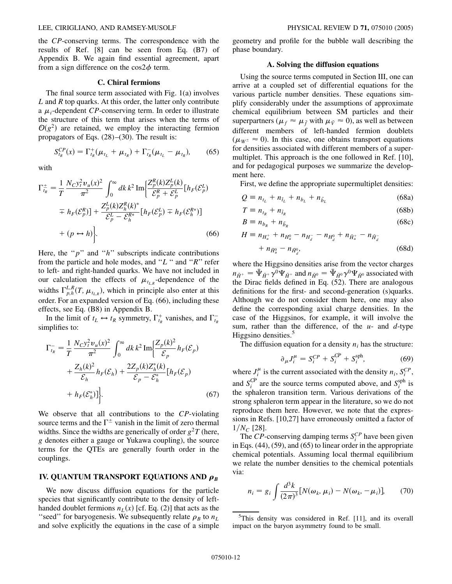the *CP*-conserving terms. The correspondence with the results of Ref. [8] can be seen from Eq. (B7) of Appendix B. We again find essential agreement, apart from a sign difference on the  $\cos 2\phi$  term.

### **C. Chiral fermions**

The final source term associated with Fig. 1(a) involves *L* and *R* top quarks. At this order, the latter only contribute a  $\mu_i$ -dependent *CP*-conserving term. In order to illustrate the structure of this term that arises when the terms of  $O(g^2)$  are retained, we employ the interacting fermion propagators of Eqs. (28)–(30). The result is:

$$
S_{t_R}^{CP}(x) = \Gamma_{t_R}^+(\mu_{t_L} + \mu_{t_R}) + \Gamma_{t_R}^-(\mu_{t_L} - \mu_{t_R}), \qquad (65)
$$

with

$$
\Gamma_{t_R}^{\pm} = \frac{1}{T} \frac{N_C y_t^2 v_u(x)^2}{\pi^2} \int_0^\infty dk \, k^2 \operatorname{Im} \left\{ \frac{Z_p^R(k) Z_p^L(k)}{\mathcal{E}_p^R + \mathcal{E}_p^L} \left[ h_F(\mathcal{E}_p^L) \right] \right\}
$$
\n
$$
= h_F(\mathcal{E}_p^R) + \frac{Z_p^L(k) Z_h^R(k)^*}{\mathcal{E}_p^L - \mathcal{E}_h^R} \left[ h_F(\mathcal{E}_p^L) \right] + (p \leftrightarrow h) \Bigg\}.
$$
\n(66)

Here, the " $p$ " and " $h$ " subscripts indicate contributions from the particle and hole modes, and ''*L* '' and ''*R*'' refer to left- and right-handed quarks. We have not included in our calculation the effects of  $\mu_{t_{LR}}$ -dependence of the widths  $\Gamma_{p,h}^{L,R}(T, \mu_{t_{L,R}})$ , which in principle also enter at this order. For an expanded version of Eq. (66), including these effects, see Eq. (B8) in Appendix B.

In the limit of  $t_L \leftrightarrow t_R$  symmetry,  $\Gamma_{t_R}^+$  vanishes, and  $\Gamma_{t_R}^$ simplifies to:

$$
\Gamma_{t_R}^{-} = \frac{1}{T} \frac{N_C y_t^2 v_u(x)^2}{\pi^2} \int_0^{\infty} dk \, k^2 \, \text{Im} \left\{ \frac{Z_p(k)^2}{\mathcal{E}_p} h_F(\mathcal{E}_p) \right. \\ \left. + \frac{Z_h(k)^2}{\mathcal{E}_h} h_F(\mathcal{E}_h) + \frac{2Z_p(k)Z_h^*(k)}{\mathcal{E}_p - \mathcal{E}_h^*} \left[ h_F(\mathcal{E}_p) \right. \right. \\ \left. + h_F(\mathcal{E}_h^*) \right] \right\}.
$$
 (67)

We observe that all contributions to the *CP*-violating source terms and the  $\Gamma^{\pm}$  vanish in the limit of zero thermal widths. Since the widths are generically of order  $g^2T$  (here, *g* denotes either a gauge or Yukawa coupling), the source terms for the QTEs are generally fourth order in the couplings.

# IV. QUANTUM TRANSPORT EQUATIONS AND  $\rho_B$

We now discuss diffusion equations for the particle species that significantly contribute to the density of lefthanded doublet fermions  $n_L(x)$  [cf. Eq. (2)] that acts as the "seed" for baryogenesis. We subsequently relate  $\rho_B$  to  $n_L$ and solve explicitly the equations in the case of a simple geometry and profile for the bubble wall describing the phase boundary.

### **A. Solving the diffusion equations**

Using the source terms computed in Section III, one can arrive at a coupled set of differential equations for the various particle number densities. These equations simplify considerably under the assumptions of approximate chemical equilibrium between SM particles and their superpartners ( $\mu_f \approx \mu_{\tilde{f}}$  with  $\mu_{\tilde{V}} \approx 0$ ), as well as between different members of left-handed fermion doublets  $(\mu_{W^{\pm}} \approx 0)$ . In this case, one obtains transport equations for densities associated with different members of a supermultiplet. This approach is the one followed in Ref. [10], and for pedagogical purposes we summarize the development here.

First, we define the appropriate supermultiplet densities:

$$
Q \equiv n_{t_L} + n_{\tilde{t}_L} + n_{b_L} + n_{\tilde{b}_L} \tag{68a}
$$

$$
T \equiv n_{t_R} + n_{\tilde{t}_R} \tag{68b}
$$

$$
B \equiv n_{b_R} + n_{\tilde{b}_R} \tag{68c}
$$

$$
H \equiv n_{H_{u}^{+}} + n_{H_{u}^{0}} - n_{H_{d}^{-}} - n_{H_{d}^{0}} + n_{\tilde{H}_{u}^{+}} - n_{\tilde{H}_{d}^{-}} + n_{\tilde{H}_{u}^{0}} - n_{\tilde{H}_{d}^{0}},
$$
\n(68d)

where the Higgsino densities arise from the vector charges  $n_{\tilde{H}^+} = \bar{\Psi}_{\tilde{H}^+} \gamma^0 \Psi_{\tilde{H}^+}$  and  $n_{\tilde{H}^0} = \bar{\Psi}_{\tilde{H}^0} \gamma^0 \Psi_{\tilde{H}^0}$  associated with the Dirac fields defined in Eq. (52). There are analogous definitions for the first- and second-generation (s)quarks. Although we do not consider them here, one may also define the corresponding axial charge densities. In the case of the Higgsinos, for example, it will involve the sum, rather than the difference, of the *u*- and *d*-type Higgsino densities.<sup>5</sup>

The diffusion equation for a density  $n_i$  has the structure:

$$
\partial_{\mu}J_{i}^{\mu} = S_{i}^{CP} + S_{i}^{CP} + S_{i}^{\text{sph}},
$$
 (69)

where  $J_i^{\mu}$  is the current associated with the density  $n_i$ ,  $S_i^{CP}$ , and  $S_i^{QP}$  are the source terms computed above, and  $S_i^{gph}$  is the sphaleron transition term. Various derivations of the strong sphaleron term appear in the literature, so we do not reproduce them here. However, we note that the expressions in Refs. [10,27] have erroneously omitted a factor of  $1/N_C$  [28].

The *CP*-conserving damping terms  $S_i^{CP}$  have been given in Eqs. (44), (59), and (65) to linear order in the appropriate chemical potentials. Assuming local thermal equilibrium we relate the number densities to the chemical potentials via:

$$
n_i = g_i \int \frac{d^3k}{(2\pi)^3} [N(\omega_k, \mu_i) - N(\omega_k, -\mu_i)], \qquad (70)
$$

<sup>&</sup>lt;sup>5</sup>This density was considered in Ref. [11], and its overall impact on the baryon asymmetry found to be small.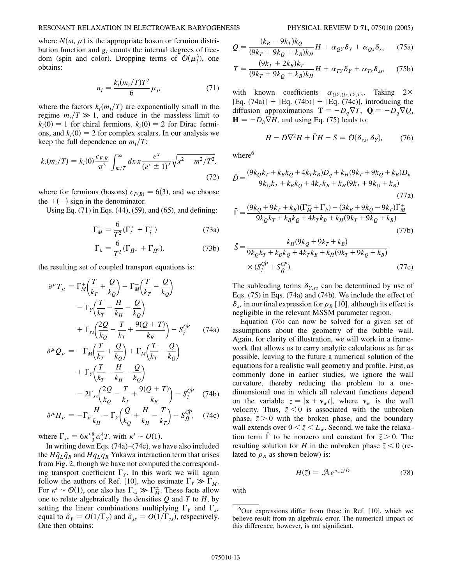where  $N(\omega, \mu)$  is the appropriate boson or fermion distribution function and  $g_i$  counts the internal degrees of freedom (spin and color). Dropping terms of  $\mathcal{O}(\mu_i^3)$ , one obtains:

$$
n_i = \frac{k_i(m_i/T)T^2}{6} \mu_i,
$$
 (71)

where the factors  $k_i(m_i/T)$  are exponentially small in the regime  $m_i/T \gg 1$ , and reduce in the massless limit to  $k_i(0) = 1$  for chiral fermions,  $k_i(0) = 2$  for Dirac fermions, and  $k_i(0) = 2$  for complex scalars. In our analysis we keep the full dependence on  $m_i/T$ :

$$
k_i(m_i/T) = k_i(0)\frac{c_{F,B}}{\pi^2} \int_{m/T}^{\infty} dx \, x \frac{e^x}{(e^x \pm 1)^2} \sqrt{x^2 - m^2/T^2},\tag{72}
$$

where for fermions (bosons)  $c_{F(B)} = 6(3)$ , and we choose the  $+(-)$  sign in the denominator.

Using Eq. (71) in Eqs. (44), (59), and (65), and defining:

$$
\Gamma_M^{\pm} = \frac{6}{T^2} (\Gamma_t^{\pm} + \Gamma_{\tilde{t}}^{\pm})
$$
 (73a)

$$
\Gamma_h = \frac{6}{T^2} (\Gamma_{\tilde{H}^\pm} + \Gamma_{\tilde{H}^0}),\tag{73b}
$$

the resulting set of coupled transport equations is:

$$
\partial^{\mu}T_{\mu} = \Gamma_{M}^{+}\left(\frac{T}{k_{T}} + \frac{Q}{k_{Q}}\right) - \Gamma_{M}^{-}\left(\frac{T}{k_{T}} - \frac{Q}{k_{Q}}\right)
$$

$$
- \Gamma_{Y}\left(\frac{T}{k_{T}} - \frac{H}{k_{H}} - \frac{Q}{k_{Q}}\right)
$$

$$
+ \Gamma_{ss}\left(\frac{2Q}{k_{Q}} - \frac{T}{k_{T}} + \frac{9(Q+T)}{k_{B}}\right) + S_{\tilde{I}}^{CP} \qquad (74a)
$$

$$
\partial^{\mu} Q_{\mu} = -\Gamma_M^+ \left( \frac{T}{k_T} + \frac{Q}{k_Q} \right) + \Gamma_M^- \left( \frac{T}{k_T} - \frac{Q}{k_Q} \right)
$$

$$
+ \Gamma_Y \left( \frac{T}{k_T} - \frac{H}{k_H} - \frac{Q}{k_Q} \right)
$$

$$
- 2\Gamma_{ss} \left( \frac{2Q}{k_Q} - \frac{T}{k_T} + \frac{9(Q+T)}{k_B} \right) - S_i^{CP} \quad (74b)
$$

$$
\partial^{\mu} H_{\mu} = -\Gamma_h \frac{H}{k_H} - \Gamma_Y \left(\frac{Q}{k_Q} + \frac{H}{k_H} - \frac{T}{k_T}\right) + S_{\tilde{H}}^{C_P}, \quad (74c)
$$

where  $\Gamma_{ss} = 6\kappa' \frac{8}{3} \alpha_s^4 T$ , with  $\kappa' \sim O(1)$ .

In writing down Eqs. (74a)–(74c), we have also included the  $H\tilde{q}_L\tilde{q}_R$  and  $Hq_Lq_R$  Yukawa interaction term that arises from Fig. 2, though we have not computed the corresponding transport coefficient  $\Gamma_Y$ . In this work we will again follow the authors of Ref. [10], who estimate  $\Gamma_Y \gg \Gamma_M^-$ . For  $\kappa' \sim \mathcal{O}(1)$ , one also has  $\Gamma_{ss} \gg \Gamma_M^{\pm}$ . These facts allow one to relate algebraically the densities *Q* and *T* to *H*, by setting the linear combinations multiplying  $\Gamma_Y$  and  $\Gamma_{ss}$ equal to  $\delta_Y = O(1/\Gamma_Y)$  and  $\delta_{ss} = O(1/\Gamma_{ss})$ , respectively. One then obtains:

$$
Q = \frac{(k_B - 9k_T)k_Q}{(9k_T + 9k_Q + k_B)k_H}H + \alpha_{QY}\delta_Y + \alpha_{QS}\delta_{SS}
$$
 (75a)

$$
T = \frac{(9k_T + 2k_B)k_T}{(9k_T + 9k_Q + k_B)k_H}H + \alpha_{TY}\delta_Y + \alpha_{Ts}\delta_{ss}, \quad (75b)
$$

with known coefficients  $\alpha_{QY,Qs,TY,Ts}$ . Taking 2×  $[Eq. (74a)] + [Eq. (74b)] + [Eq. (74c)],$  introducing the diffusion approximations  $\mathbf{T} = -D_q \nabla T$ ,  $\mathbf{Q} = -D_q \nabla Q$ ,  $H = -D_h \nabla H$ , and using Eq. (75) leads to:

$$
\dot{H} - \bar{D}\nabla^2 H + \bar{\Gamma}H - \bar{S} = \mathcal{O}(\delta_{ss}, \delta_Y), \qquad (76)
$$

where $6$ 

$$
\bar{D} = \frac{(9k_{Q}k_{T} + k_{B}k_{Q} + 4k_{T}k_{B})D_{q} + k_{H}(9k_{T} + 9k_{Q} + k_{B})D_{h}}{9k_{Q}k_{T} + k_{B}k_{Q} + 4k_{T}k_{B} + k_{H}(9k_{T} + 9k_{Q} + k_{B})}
$$
\n(77a)

$$
\bar{\Gamma} = \frac{(9k_Q + 9k_T + k_B)(\Gamma_M^- + \Gamma_h) - (3k_B + 9k_Q - 9k_T)\Gamma_M^+}{9k_Qk_T + k_Bk_Q + 4k_Tk_B + k_H(9k_T + 9k_Q + k_B)}
$$
\n(77b)

$$
\bar{S} = \frac{k_H(9k_Q + 9k_T + k_B)}{9k_Qk_T + k_Bk_Q + 4k_Tk_B + k_H(9k_T + 9k_Q + k_B)}\times (S_{\tilde{I}}^{CP} + S_{\tilde{H}}^{CP}).
$$
\n(77c)

The subleading terms  $\delta_{Y,ss}$  can be determined by use of Eqs. (75) in Eqs. (74a) and (74b). We include the effect of  $\delta_{ss}$  in our final expression for  $\rho_B$  [10], although its effect is negligible in the relevant MSSM parameter region.

Equation (76) can now be solved for a given set of assumptions about the geometry of the bubble wall. Again, for clarity of illustration, we will work in a framework that allows us to carry analytic calculations as far as possible, leaving to the future a numerical solution of the equations for a realistic wall geometry and profile. First, as commonly done in earlier studies, we ignore the wall curvature, thereby reducing the problem to a onedimensional one in which all relevant functions depend on the variable  $\bar{z} = |\mathbf{x} + \mathbf{v}_w t|$ , where  $\mathbf{v}_w$  is the wall velocity. Thus,  $\bar{z}$  < 0 is associated with the unbroken phase,  $\bar{z} > 0$  with the broken phase, and the boundary wall extends over  $0 < \overline{z} < L_w$ . Second, we take the relaxation term  $\Gamma$  to be nonzero and constant for  $\bar{z} > 0$ . The resulting solution for *H* in the unbroken phase  $\bar{z}$  < 0 (related to  $\rho_B$  as shown below) is:

$$
H(\bar{z}) = \mathcal{A} e^{\nu_w \bar{z}/\bar{D}} \tag{78}
$$

with

<sup>6</sup> Our expressions differ from those in Ref. [10], which we believe result from an algebraic error. The numerical impact of this difference, however, is not significant.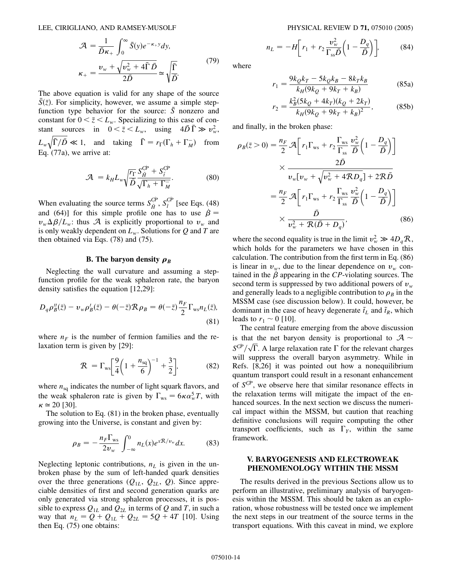LEE, CIRIGLIANO, AND RAMSEY-MUSOLF PHYSICAL REVIEW D **71,** 075010 (2005)

$$
\mathcal{A} = \frac{1}{\bar{D}\kappa_+} \int_0^\infty \bar{S}(y) e^{-\kappa_+ y} dy,
$$
  

$$
\kappa_+ = \frac{v_w + \sqrt{v_w^2 + 4\bar{\Gamma}\bar{D}}}{2\bar{D}} \simeq \sqrt{\frac{\bar{\Gamma}}{\bar{D}}}.
$$
 (79)

The above equation is valid for any shape of the source  $\bar{S}(\bar{z})$ . For simplicity, however, we assume a simple stepfunction type behavior for the source:  $\overline{S}$  nonzero and constant for  $0 < \overline{z} < L_w$ . Specializing to this case of constant sources in  $0 < \bar{z} < L_w$ , using  $4\bar{D} \bar{\Gamma} \gg v_w^2$ ,  $L_w \sqrt{\overline{\Gamma}/\overline{D}} \ll 1$ , and taking  $\overline{\Gamma} = r_\Gamma (\Gamma_h + \Gamma_M^-)$  from ----------Eq. (77a), we arrive at:

$$
\mathcal{A} = k_H L_w \sqrt{\frac{r_{\Gamma}}{D}} \frac{S_{\tilde{H}}^{C_P} + S_{\tilde{t}}^{C_P}}{\sqrt{\Gamma_h + \Gamma_M}}.
$$
(80)

When evaluating the source terms  $S_{\tilde{H}}^{C_P}$ ,  $S_{\tilde{t}}^{C_P}$  [see Eqs. (48) and (64)] for this simple profile one has to use  $\dot{\beta} =$  $v_w \Delta \beta / L_w$ : thus A is explicitly proportional to  $v_w$  and is only weakly dependent on  $L_w$ . Solutions for  $Q$  and  $T$  are then obtained via Eqs. (78) and (75).

# **B.** The baryon density  $\rho_B$

Neglecting the wall curvature and assuming a stepfunction profile for the weak sphaleron rate, the baryon density satisfies the equation [12,29]:

$$
D_q \rho_B''(\bar{z}) - v_w \rho_B'(\bar{z}) - \theta(-\bar{z}) \mathcal{R} \rho_B = \theta(-\bar{z}) \frac{n_F}{2} \Gamma_{ws} n_L(\bar{z}),
$$
\n(81)

where  $n_F$  is the number of fermion families and the relaxation term is given by [29]:

$$
\mathcal{R} = \Gamma_{\text{ws}} \left[ \frac{9}{4} \left( 1 + \frac{n_{\text{sq}}}{6} \right)^{-1} + \frac{3}{2} \right],\tag{82}
$$

where  $n_{\rm sq}$  indicates the number of light squark flavors, and the weak sphaleron rate is given by  $\Gamma_{ws} = 6\kappa \alpha_w^5 T$ , with  $\kappa \approx 20$  [30].

The solution to Eq. (81) in the broken phase, eventually growing into the Universe, is constant and given by:

$$
\rho_B = -\frac{n_F \Gamma_{\text{ws}}}{2v_w} \int_{-\infty}^0 n_L(x) e^{x \mathcal{R}/v_w} dx.
$$
 (83)

Neglecting leptonic contributions,  $n<sub>L</sub>$  is given in the unbroken phase by the sum of left-handed quark densities over the three generations  $(Q_{1L}, Q_{2L}, Q)$ . Since appreciable densities of first and second generation quarks are only generated via strong sphaleron processes, it is possible to express  $Q_{1L}$  and  $Q_{2L}$  in terms of  $Q$  and  $T$ , in such a way that  $n_L = Q + Q_{1L} + Q_{2L} = 5Q + 4T$  [10]. Using then Eq. (75) one obtains:

$$
n_L = -H \left[ r_1 + r_2 \frac{v_w^2}{\Gamma_{ss} \bar{D}} \left( 1 - \frac{D_q}{\bar{D}} \right) \right],\tag{84}
$$

where

$$
r_1 = \frac{9k_Q k_T - 5k_Q k_B - 8k_T k_B}{k_H (9k_Q + 9k_T + k_B)}
$$
(85a)

$$
r_2 = \frac{k_B^2 (5k_Q + 4k_T)(k_Q + 2k_T)}{k_H (9k_Q + 9k_T + k_B)^2},
$$
 (85b)

and finally, in the broken phase:

$$
\rho_B(\bar{z} > 0) = \frac{n_F}{2} \mathcal{A} \left[ r_1 \Gamma_{\text{ws}} + r_2 \frac{\Gamma_{\text{ws}}}{\Gamma_{\text{ss}}} \frac{\nu_{\text{w}}^2}{\bar{D}} \left( 1 - \frac{D_q}{\bar{D}} \right) \right]
$$
  

$$
\times \frac{2\bar{D}}{\nu_{\text{w}} [\nu_{\text{w}} + \sqrt{\nu_{\text{w}}^2 + 4R D_q} + 2R \bar{D}}
$$
  

$$
= \frac{n_F}{2} \mathcal{A} \left[ r_1 \Gamma_{\text{ws}} + r_2 \frac{\Gamma_{\text{ws}}}{\Gamma_{\text{ss}}} \frac{\nu_{\text{w}}^2}{\bar{D}} \left( 1 - \frac{D_q}{\bar{D}} \right) \right]
$$
  

$$
\times \frac{\bar{D}}{\nu_{\text{w}}^2 + R(\bar{D} + D_q)}, \tag{86}
$$

where the second equality is true in the limit  $v_w^2 \gg 4D_q \mathcal{R}$ , which holds for the parameters we have chosen in this calculation. The contribution from the first term in Eq. (86) is linear in  $v_w$ , due to the linear dependence on  $v_w$  contained in the  $\beta$  appearing in the *CP*-violating sources. The second term is suppressed by two additional powers of  $v_w$ and generally leads to a negligible contribution to  $\rho_B$  in the MSSM case (see discussion below). It could, however, be dominant in the case of heavy degenerate  $\tilde{t}_L$  and  $\tilde{t}_R$ , which leads to  $r_1 \sim 0$  [10].

The central feature emerging from the above discussion is that the net baryon density is proportional to  $\mathcal{A} \sim$ is that the net baryon density is proportional to  $A^{\sim}$ -will suppress the overall baryon asymmetry. While in Refs. [8,26] it was pointed out how a nonequilibrium quantum transport could result in a resonant enhancement of  $S^{QP}$ , we observe here that similar resonance effects in the relaxation terms will mitigate the impact of the enhanced sources. In the next section we discuss the numerical impact within the MSSM, but caution that reaching definitive conclusions will require computing the other transport coefficients, such as  $\Gamma_Y$ , within the same framework.

# **V. BARYOGENESIS AND ELECTROWEAK PHENOMENOLOGY WITHIN THE MSSM**

The results derived in the previous Sections allow us to perform an illustrative, preliminary analysis of baryogenesis within the MSSM. This should be taken as an exploration, whose robustness will be tested once we implement the next steps in our treatment of the source terms in the transport equations. With this caveat in mind, we explore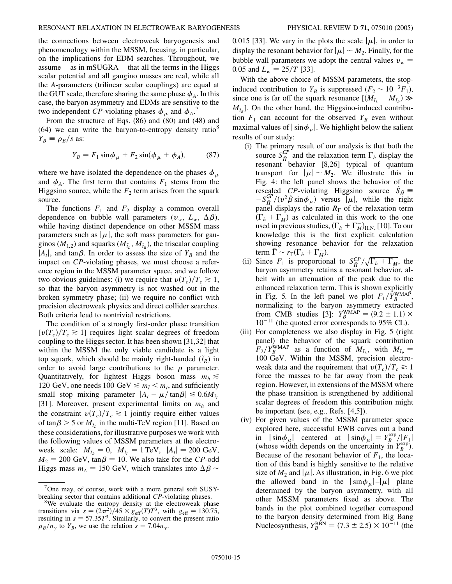the connections between electroweak baryogenesis and phenomenology within the MSSM, focusing, in particular, on the implications for EDM searches. Throughout, we assume—as in mSUGRA—that all the terms in the Higgs scalar potential and all gaugino masses are real, while all the *A*-parameters (trilinear scalar couplings) are equal at the GUT scale, therefore sharing the same phase  $\phi_A$ . In this case, the baryon asymmetry and EDMs are sensitive to the two independent *CP*-violating phases  $\phi_{\mu}$  and  $\phi_{A}$ .<sup>7</sup>

From the structure of Eqs. (86) and (80) and (48) and  $(64)$  we can write the baryon-to-entropy density ratio<sup>8</sup>  $Y_B \equiv \rho_B / s$  as:

$$
Y_B = F_1 \sin \phi_\mu + F_2 \sin(\phi_\mu + \phi_A), \tag{87}
$$

where we have isolated the dependence on the phases  $\phi_{\mu}$ and  $\phi_A$ . The first term that contains  $F_1$  stems from the Higgsino source, while the  $F_2$  term arises from the squark source.

The functions  $F_1$  and  $F_2$  display a common overall dependence on bubble wall parameters  $(v_w, L_w, \Delta \beta)$ , while having distinct dependence on other MSSM mass parameters such as  $|\mu|$ , the soft mass parameters for gauginos ( $M_{1,2}$ ) and squarks ( $M_{\tilde{t}_L}$ ,  $M_{\tilde{t}_R}$ ), the triscalar coupling  $|A_t|$ , and tan $\beta$ . In order to assess the size of  $Y_B$  and the impact on *CP*-violating phases, we must choose a reference region in the MSSM parameter space, and we follow two obvious guidelines: (i) we require that  $v(T_c)/T_c \ge 1$ , so that the baryon asymmetry is not washed out in the broken symmetry phase; (ii) we require no conflict with precision electroweak physics and direct collider searches. Both criteria lead to nontrivial restrictions.

The condition of a strongly first-order phase transition  $[v(T_c)/T_c \ge 1]$  requires light scalar degrees of freedom coupling to the Higgs sector. It has been shown [31,32] that within the MSSM the only viable candidate is a light top squark, which should be mainly right-handed  $(\tilde{t}_R)$  in order to avoid large contributions to the  $\rho$  parameter. Quantitatively, for lightest Higgs boson mass  $m<sub>h</sub> \leq$ 120 GeV, one needs 100 GeV  $\leq m_{\tilde{t}} < m_t$ , and sufficiently small stop mixing parameter  $|A_t - \mu / \tan \beta| \leq 0.6 M_{\tilde{t}_L}$ [31]. Moreover, present experimental limits on *mh* and the constraint  $v(T_c)/T_c \ge 1$  jointly require either values of tan $\beta$  > 5 or  $M_{\tilde{t}_L}$  in the multi-TeV region [11]. Based on these considerations, for illustrative purposes we work with the following values of MSSM parameters at the electroweak scale:  $M_{\tilde{t}_R} = 0$ ,  $M_{\tilde{t}_L} = 1 \text{ TeV}$ ,  $|A_t| = 200 \text{ GeV}$ ,  $M_2 = 200$  GeV, tan  $\beta = 10$ . We also take for the *CP*-odd Higgs mass  $m_A = 150$  GeV, which translates into  $\Delta \beta \sim$  0.015 [33]. We vary in the plots the scale  $|\mu|$ , in order to display the resonant behavior for  $|\mu| \sim M_2$ . Finally, for the bubble wall parameters we adopt the central values  $v_w =$ 0.05 and  $L_w = 25/T$  [33].

With the above choice of MSSM parameters, the stopinduced contribution to  $Y_B$  is suppressed  $(F_2 \sim 10^{-3} F_1)$ , since one is far off the squark resonance  $[(M_{\tilde{t}_L} - M_{\tilde{t}_R})]$  $M_{\tilde{t}_R}$ . On the other hand, the Higgsino-induced contribution  $F_1$  can account for the observed  $Y_B$  even without maximal values of  $|\sin \phi_\mu|$ . We highlight below the salient results of our study:

- (i) The primary result of our analysis is that both the source  $S_{\tilde{H}}^{C_P}$  and the relaxation term  $\Gamma_h$  display the resonant behavior [8,26] typical of quantum transport for  $|\mu| \sim M_2$ . We illustrate this in Fig. 4: the left panel shows the behavior of the rescaled *CP*-violating Higgsino source  $\hat{S}_{\tilde{H}} = -S_{\tilde{H}}^{CP}/(\nu^2 \beta \sin \phi_\mu)$  versus  $|\mu|$ , while the right panel displays the ratio  $R_{\Gamma}$  of the relaxation term  $(\Gamma_h + \Gamma_M^-)$  as calculated in this work to the one used in previous studies,  $(\Gamma_h + \Gamma_M^-)_{\text{H.N.}}$  [10]. To our knowledge this is the first explicit calculation showing resonance behavior for the relaxation term  $\overline{\Gamma} \sim r_{\Gamma}(\Gamma_h + \Gamma_M^-)$ .
- (ii) Since  $F_1$  is proportional to  $S_{\tilde{H}}^{CP}/\sqrt{\Gamma_h + \Gamma_M}$ , the --baryon asymmetry retains a resonant behavior, albeit with an attenuation of the peak due to the enhanced relaxation term. This is shown explicitly in Fig. 5. In the left panel we plot  $F_1/Y_B^{\text{WMAP}}$ , normalizing to the baryon asymmetry extracted from CMB studies [3]:  $Y_B^{\text{WMAP}} = (9.2 \pm 1.1) \times$  $10^{-11}$  (the quoted error corresponds to 95% CL).
- (iii) For completeness we also display in Fig. 5 (right panel) the behavior of the squark contribution  $F_2/Y_B^{\text{WMAP}}$  as a function of  $M_{\tilde{t}_L}$ , with  $M_{\tilde{t}_R} =$ 100 GeV. Within the MSSM, precision electroweak data and the requirement that  $v(T_c)/T_c \ge 1$ force the masses to be far away from the peak region. However, in extensions of the MSSM where the phase transition is strengthened by additional scalar degrees of freedom this contribution might be important (see, e.g., Refs. [4,5]).
- (iv) For given values of the MSSM parameter space explored here, successful EWB carves out a band  $\sin \phi_\mu$  centered at  $|\sin \phi_\mu| = Y_B^{\exp}/|F_1|$ (whose width depends on the uncertainty in  $Y_B^{\text{exp}}$ ). Because of the resonant behavior of  $F_1$ , the location of this band is highly sensitive to the relative size of  $M_2$  and  $|\mu|$ . As illustration, in Fig. 6 we plot the allowed band in the  $|\sin \phi_u| - |\mu|$  plane determined by the baryon asymmetry, with all other MSSM parameters fixed as above. The bands in the plot combined together correspond to the baryon density determined from Big Bang Nucleosynthesis,  $Y_B^{BBN} = (7.3 \pm 2.5) \times 10^{-11}$  (the

<sup>&</sup>lt;sup>7</sup>One may, of course, work with a more general soft SUSYbreaking sector that contains additional *CP*-violating phases.

<sup>&</sup>lt;sup>8</sup>We evaluate the entropy density at the electroweak phase transitions via  $s = (2\pi^2)/45 \times g_{\text{eff}}(T)T^3$ , with  $g_{\text{eff}} = 130.75$ , resulting in  $s = 57.35T^3$ . Similarly, to convert the present ratio  $\rho_B/n_\gamma$  to  $Y_B$ , we use the relation  $s = 7.04n_\gamma$ .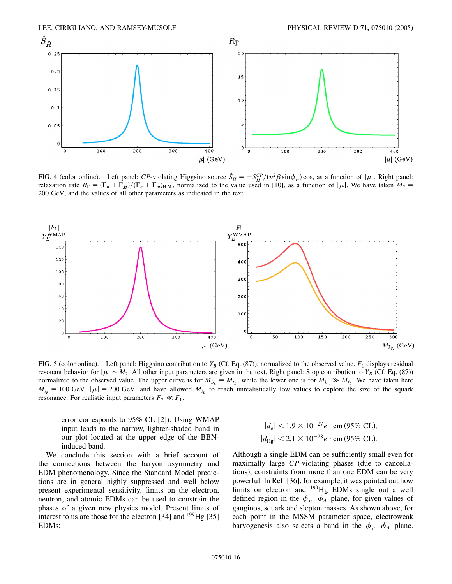

FIG. 4 (color online). Left panel: *CP*-violating Higgsino source  $\hat{S}_{\hat{H}} = -S_{\hat{H}}^{CP}/(v^2\hat{\beta}\sin\phi_\mu)\cos$ , as a function of  $|\mu|$ . Right panel: relaxation rate  $R_{\Gamma} = (\Gamma_h + \Gamma_M^-)/(\Gamma_h + \Gamma_m)_{\text{H.N.}}$ , normalized to the value used in [10], as a function of  $|\mu|$ . We have taken  $M_2 =$ 200 GeV, and the values of all other parameters as indicated in the text.



FIG. 5 (color online). Left panel: Higgsino contribution to  $Y_B$  (Cf. Eq. (87)), normalized to the observed value.  $F_1$  displays residual resonant behavior for  $|\mu| \sim M_2$ . All other input parameters are given in the text. Right panel: Stop contribution to  $Y_B$  (Cf. Eq. (87)) normalized to the observed value. The upper curve is for  $M_{\tilde{b}_L} = M_{\tilde{t}_L}$ , while the lower one is for  $M_{\tilde{b}_L} \gg M_{\tilde{t}_L}$ . We have taken here  $M_{\tilde{t}_R} = 100$  GeV,  $|\mu| = 200$  GeV, and have allowed  $M_{\tilde{t}_L}$  to reach unrealistically low values to explore the size of the squark resonance. For realistic input parameters  $F_2 \ll F_1$ .

error corresponds to 95% CL [2]). Using WMAP input leads to the narrow, lighter-shaded band in our plot located at the upper edge of the BBNinduced band.

We conclude this section with a brief account of the connections between the baryon asymmetry and EDM phenomenology. Since the Standard Model predictions are in general highly suppressed and well below present experimental sensitivity, limits on the electron, neutron, and atomic EDMs can be used to constrain the phases of a given new physics model. Present limits of interest to us are those for the electron [34] and  $^{199}$ Hg [35] EDMs:

$$
|d_e|
$$
 < 1.9 × 10<sup>-27</sup>*e* · cm (95% CL),  
 $|d_{\text{Hg}}|$  < 2.1 × 10<sup>-28</sup>*e* · cm (95% CL).

Although a single EDM can be sufficiently small even for maximally large *CP*-violating phases (due to cancellations), constraints from more than one EDM can be very powerful. In Ref. [36], for example, it was pointed out how limits on electron and 199Hg EDMs single out a well defined region in the  $\phi_{\mu}$ - $\phi_{A}$  plane, for given values of gauginos, squark and slepton masses. As shown above, for each point in the MSSM parameter space, electroweak baryogenesis also selects a band in the  $\phi_{\mu}$ - $\phi_{A}$  plane.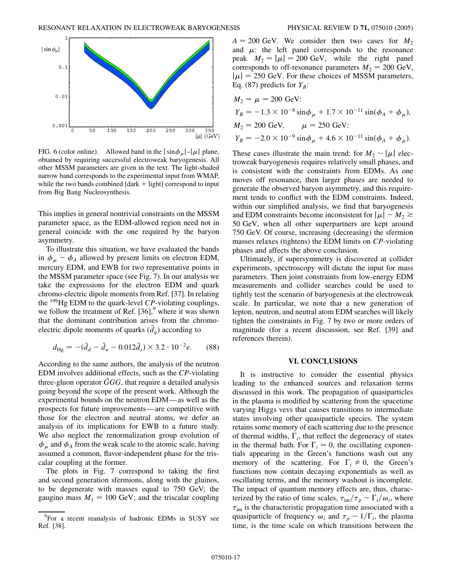

FIG. 6 (color online). Allowed band in the  $|\sin \phi_u| - |\mu|$  plane, obtained by requiring successful electroweak baryogenesis. All other MSSM parameters are given in the text. The light-shaded narrow band corresponds to the experimental input from WMAP, while the two bands combined  $[dark + light]$  correspond to input from Big Bang Nucleosynthesis.

This implies in general nontrivial constraints on the MSSM parameter space, as the EDM-allowed region need not in general coincide with the one required by the baryon asymmetry.

To illustrate this situation, we have evaluated the bands in  $\phi_{\mu} - \phi_{A}$  allowed by present limits on electron EDM, mercury EDM, and EWB for two representative points in the MSSM parameter space (see Fig. 7). In our analysis we take the expressions for the electron EDM and quark chromo-electric dipole moments from Ref. [37]. In relating the 199Hg EDM to the quark-level *CP*-violating couplings, we follow the treatment of Ref.  $[36]$ , where it was shown that the dominant contribution arises from the chromoelectric dipole moments of quarks  $(\tilde{d}_q)$  according to

$$
d_{\text{Hg}} = -(\tilde{d}_d - \tilde{d}_u - 0.012\tilde{d}_s) \times 3.2 \cdot 10^{-2} e. \tag{88}
$$

According to the same authors, the analysis of the neutron EDM involves additional effects, such as the *CP*-violating three-gluon operator  $GGG$ , that require a detailed analysis going beyond the scope of the present work. Although the experimental bounds on the neutron EDM—as well as the prospects for future improvements—are competitive with those for the electron and neutral atoms, we defer an analysis of its implications for EWB to a future study. We also neglect the renormalization group evolution of  $\phi_{\mu}$  and  $\phi_{A}$  from the weak scale to the atomic scale, having assumed a common, flavor-independent phase for the triscalar coupling at the former.

The plots in Fig. 7 correspond to taking the first and second generation sfermions, along with the gluinos, to be degenerate with masses equal to 750 GeV; the gaugino mass  $M_1 = 100$  GeV; and the triscalar coupling  $A = 200$  GeV. We consider then two cases for  $M_2$ and  $\mu$ : the left panel corresponds to the resonance peak  $M_2 = |\mu| = 200$  GeV, while the right panel corresponds to off-resonance parameters  $M_2 = 200$  GeV,  $|\mu| = 250$  GeV. For these choices of MSSM parameters, Eq. (87) predicts for  $Y_B$ :

$$
M_2 = \mu = 200 \text{ GeV};
$$
  
\n
$$
Y_B = -1.3 \times 10^{-8} \sin \phi_{\mu} + 1.7 \times 10^{-11} \sin(\phi_A + \phi_{\mu}),
$$
  
\n
$$
M_2 = 200 \text{ GeV}, \qquad \mu = 250 \text{ GeV};
$$
  
\n
$$
Y_B = -2.0 \times 10^{-9} \sin \phi_{\mu} + 4.6 \times 10^{-11} \sin(\phi_A + \phi_{\mu}).
$$

These cases illustrate the main trend: for  $M_2 \sim |\mu|$  electroweak baryogenesis requires relatively small phases, and is consistent with the constraints from EDMs. As one moves off resonance, then larger phases are needed to generate the observed baryon asymmetry, and this requirement tends to conflict with the EDM constraints. Indeed, within our simplified analysis, we find that baryogenesis and EDM constraints become inconsistent for  $|\mu| - M_2 \ge$ 50 GeV, when all other superpartners are kept around 750 GeV. Of course, increasing (decreasing) the sfermion masses relaxes (tightens) the EDM limits on *CP*-violating phases and affects the above conclusion.

Ultimately, if supersymmetry is discovered at collider experiments, spectroscopy will dictate the input for mass parameters. Then joint constraints from low-energy EDM measurements and collider searches could be used to tightly test the scenario of baryogenesis at the electroweak scale. In particular, we note that a new generation of lepton, neutron, and neutral atom EDM searches will likely tighten the constraints in Fig. 7 by two or more orders of magnitude (for a recent discussion, see Ref. [39] and references therein).

#### **VI. CONCLUSIONS**

It is instructive to consider the essential physics leading to the enhanced sources and relaxation terms discussed in this work. The propagation of quasiparticles in the plasma is modified by scattering from the spacetime varying Higgs vevs that causes transitions to intermediate states involving other quasiparticle species. The system retains some memory of each scattering due to the presence of thermal widths,  $\Gamma_i$ , that reflect the degeneracy of states in the thermal bath. For  $\Gamma_i = 0$ , the oscillating exponentials appearing in the Green's functions wash out any memory of the scattering. For  $\Gamma_i \neq 0$ , the Green's functions now contain decaying exponentials as well as oscillating terms, and the memory washout is incomplete. The impact of quantum memory effects are, thus, characterized by the ratio of time scales,  $\tau_{int}/\tau_p \sim \Gamma_i/\omega_i$ , where  $\tau_{\text{int}}$  is the characteristic propagation time associated with a quasiparticle of frequency  $\omega_i$  and  $\tau_p \sim 1/\Gamma_i$ , the plasma time, is the time scale on which transitions between the

<sup>&</sup>lt;sup>9</sup>For a recent reanalysis of hadronic EDMs in SUSY see Ref. [38].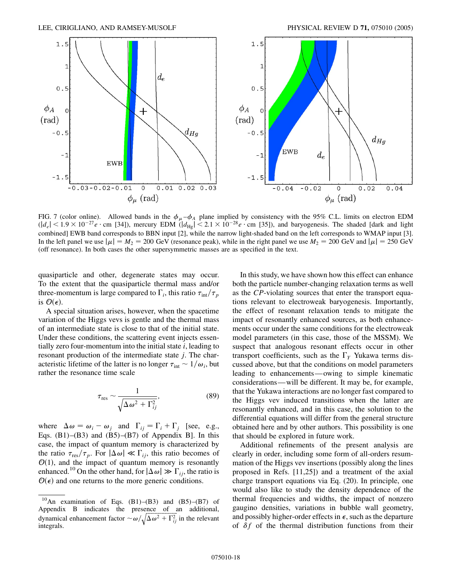

FIG. 7 (color online). Allowed bands in the  $\phi_{\mu} - \phi_{A}$  plane implied by consistency with the 95% C.L. limits on electron EDM  $(|d_e| < 1.9 \times 10^{-27} e \cdot \text{cm}$  [34]), mercury EDM  $(|d_{\text{Hg}}| < 2.1 \times 10^{-28} e \cdot \text{cm}$  [35]), and baryogenesis. The shaded [dark and light combined] EWB band corresponds to BBN input [2], while the narrow light-shaded band on the left corresponds to WMAP input [3]. In the left panel we use  $|\mu| = M_2 = 200$  GeV (resonance peak), while in the right panel we use  $M_2 = 200$  GeV and  $|\mu| = 250$  GeV (off resonance). In both cases the other supersymmetric masses are as specified in the text.

quasiparticle and other, degenerate states may occur. To the extent that the quasiparticle thermal mass and/or three-momentum is large compared to  $\Gamma_i$ , this ratio  $\tau_{int}/\tau_p$ is  $\mathcal{O}(\epsilon)$ .

A special situation arises, however, when the spacetime variation of the Higgs vevs is gentle and the thermal mass of an intermediate state is close to that of the initial state. Under these conditions, the scattering event injects essentially zero four-momentum into the initial state *i*, leading to resonant production of the intermediate state *j*. The characteristic lifetime of the latter is no longer  $\tau_{\text{int}} \sim 1/\omega_i$ , but rather the resonance time scale

$$
\tau_{\rm res} \sim \frac{1}{\sqrt{\Delta \omega^2 + \Gamma_{ij}^2}},\tag{89}
$$

where  $\Delta \omega = \omega_i - \omega_j$  and  $\Gamma_{ij} = \Gamma_i + \Gamma_j$  [see, e.g., Eqs.  $(B1)$ – $(B3)$  and  $(B5)$ – $(B7)$  of Appendix B. In this case, the impact of quantum memory is characterized by the ratio  $\tau_{res}/\tau_p$ . For  $|\Delta \omega| \ll \Gamma_{ij}$ , this ratio becomes of  $\mathcal{O}(1)$ , and the impact of quantum memory is resonantly enhanced.<sup>10</sup> On the other hand, for  $|\Delta \omega| \gg \Gamma_{ij}$ , the ratio is  $\mathcal{O}(\epsilon)$  and one returns to the more generic conditions.

In this study, we have shown how this effect can enhance both the particle number-changing relaxation terms as well as the *CP*-violating sources that enter the transport equations relevant to electroweak baryogenesis. Importantly, the effect of resonant relaxation tends to mitigate the impact of resonantly enhanced sources, as both enhancements occur under the same conditions for the electroweak model parameters (in this case, those of the MSSM). We suspect that analogous resonant effects occur in other transport coefficients, such as the  $\Gamma_Y$  Yukawa terms discussed above, but that the conditions on model parameters leading to enhancements—owing to simple kinematic considerations—will be different. It may be, for example, that the Yukawa interactions are no longer fast compared to the Higgs vev induced transitions when the latter are resonantly enhanced, and in this case, the solution to the differential equations will differ from the general structure obtained here and by other authors. This possibility is one that should be explored in future work.

Additional refinements of the present analysis are clearly in order, including some form of all-orders resummation of the Higgs vev insertions (possibly along the lines proposed in Refs. [11,25]) and a treatment of the axial charge transport equations via Eq. (20). In principle, one would also like to study the density dependence of the thermal frequencies and widths, the impact of nonzero gaugino densities, variations in bubble wall geometry, and possibly higher-order effects in  $\epsilon$ , such as the departure of  $\delta f$  of the thermal distribution functions from their

<sup>&</sup>lt;sup>10</sup>An examination of Eqs.  $(B1)$ – $(B3)$  and  $(B5)$ – $(B7)$  of Appendix B indicates the presence of an additional, dynamical enhancement factor  $\sim \omega / \sqrt{\Delta \omega^2 + \Gamma_{ij}^2}$  in the relevant ---------------------integrals.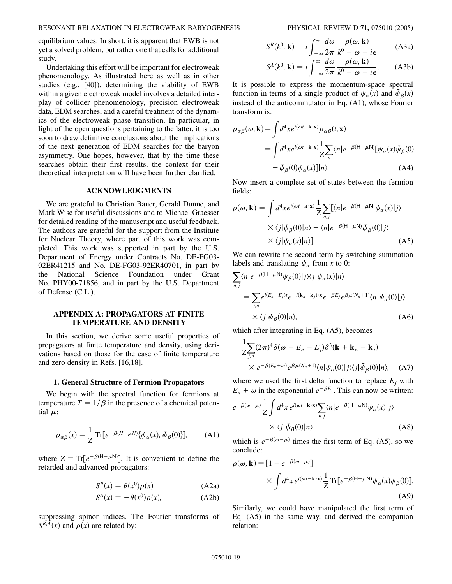equilibrium values. In short, it is apparent that EWB is not yet a solved problem, but rather one that calls for additional study.

Undertaking this effort will be important for electroweak phenomenology. As illustrated here as well as in other studies (e.g., [40]), determining the viability of EWB within a given electroweak model involves a detailed interplay of collider phenomenology, precision electroweak data, EDM searches, and a careful treatment of the dynamics of the electroweak phase transition. In particular, in light of the open questions pertaining to the latter, it is too soon to draw definitive conclusions about the implications of the next generation of EDM searches for the baryon asymmetry. One hopes, however, that by the time these searches obtain their first results, the context for their theoretical interpretation will have been further clarified.

### **ACKNOWLEDGMENTS**

We are grateful to Christian Bauer, Gerald Dunne, and Mark Wise for useful discussions and to Michael Graesser for detailed reading of the manuscript and useful feedback. The authors are grateful for the support from the Institute for Nuclear Theory, where part of this work was completed. This work was supported in part by the U.S. Department of Energy under Contracts No. DE-FG03- 02ER41215 and No. DE-FG03-92ER40701, in part by the National Science Foundation under Grant No. PHY00-71856, and in part by the U.S. Department of Defense (C.L.).

## **APPENDIX A: PROPAGATORS AT FINITE TEMPERATURE AND DENSITY**

In this section, we derive some useful properties of propagators at finite temperature and density, using derivations based on those for the case of finite temperature and zero density in Refs. [16,18].

### **1. General Structure of Fermion Propagators**

We begin with the spectral function for fermions at temperature  $T = 1/\beta$  in the presence of a chemical potential  $\mu$ :

$$
\rho_{\alpha\beta}(x) = \frac{1}{Z} \operatorname{Tr} \left[ e^{-\beta(H - \mu N)} \{ \psi_{\alpha}(x), \bar{\psi}_{\beta}(0) \} \right], \tag{A1}
$$

where  $Z = Tr[e^{-\beta(H-\mu N)}]$ . It is convenient to define the retarded and advanced propagators:

$$
S^{R}(x) = \theta(x^{0})\rho(x) \tag{A2a}
$$

$$
S^{A}(x) = -\theta(x^{0})\rho(x), \qquad (A2b)
$$

suppressing spinor indices. The Fourier transforms of  $S^{R,A}(x)$  and  $\rho(x)$  are related by:

$$
S^{R}(k^{0}, \mathbf{k}) = i \int_{-\infty}^{\infty} \frac{d\omega}{2\pi} \frac{\rho(\omega, \mathbf{k})}{k^{0} - \omega + i\epsilon}
$$
 (A3a)

$$
S^{A}(k^{0}, \mathbf{k}) = i \int_{-\infty}^{\infty} \frac{d\omega}{2\pi} \frac{\rho(\omega, \mathbf{k})}{k^{0} - \omega - i\epsilon}.
$$
 (A3b)

It is possible to express the momentum-space spectral function in terms of a single product of  $\psi_{\alpha}(x)$  and  $\bar{\psi}_{\beta}(x)$ instead of the anticommutator in Eq. (A1), whose Fourier transform is:

$$
\rho_{\alpha\beta}(\omega, \mathbf{k}) = \int d^4x e^{i(\omega t - \mathbf{k} \cdot \mathbf{x})} \rho_{\alpha\beta}(t, \mathbf{x})
$$
  
= 
$$
\int d^4x e^{i(\omega t - \mathbf{k} \cdot \mathbf{x})} \frac{1}{Z} \sum_n \langle n|e^{-\beta(\mathbf{H} - \mu \mathbf{N})} [\psi_\alpha(x)\bar{\psi}_\beta(0) + \bar{\psi}_\beta(0)\psi_\alpha(x)]|n\rangle.
$$
 (A4)

Now insert a complete set of states between the fermion fields:

$$
\rho(\omega, \mathbf{k}) = \int d^4x e^{i(\omega t - \mathbf{k} \cdot \mathbf{x})} \frac{1}{Z} \sum_{n,j} [\langle n|e^{-\beta(\mathsf{H} - \mu \mathsf{N})} \psi_{\alpha}(x)|j\rangle
$$
  
 
$$
\times \langle j|\bar{\psi}_{\beta}(0)|n\rangle + \langle n|e^{-\beta(\mathsf{H} - \mu \mathsf{N})} \bar{\psi}_{\beta}(0)|j\rangle
$$
  
 
$$
\times \langle j|\psi_{\alpha}(x)|n\rangle].
$$
 (A5)

We can rewrite the second term by switching summation labels and translating  $\psi_{\alpha}$  from *x* to 0:

$$
\sum_{n,j} \langle n|e^{-\beta(H-\mu N)}\bar{\psi}_{\beta}(0)|j\rangle\langle j|\psi_{\alpha}(x)|n\rangle
$$
  
= 
$$
\sum_{j,n} e^{i(E_n-E_j)t} e^{-i(\mathbf{k}_n-\mathbf{k}_j)\cdot\mathbf{x}} e^{-\beta E_j} e^{\beta\mu(N_n+1)}\langle n|\psi_{\alpha}(0)|j\rangle
$$
  

$$
\times \langle j|\bar{\psi}_{\beta}(0)|n\rangle,
$$
 (A6)

which after integrating in Eq.  $(A5)$ , becomes

$$
\frac{1}{Z} \sum_{j,n} (2\pi)^4 \delta(\omega + E_n - E_j) \delta^3(\mathbf{k} + \mathbf{k}_n - \mathbf{k}_j)
$$
  
×  $e^{-\beta(E_n + \omega)} e^{\beta \mu(N_n + 1)} \langle n | \psi_\alpha(0) | j \rangle \langle j | \bar{\psi}_\beta(0) | n \rangle$ , (A7)

where we used the first delta function to replace  $E_j$  with  $E_n + \omega$  in the exponential  $e^{-\beta E_j}$ . This can now be written:

$$
e^{-\beta(\omega-\mu)}\frac{1}{Z}\int d^4x \, e^{i(\omega t - \mathbf{k}\cdot\mathbf{x})} \sum_{n,j} \langle n|e^{-\beta(\mathbf{H}-\mu\mathbf{N})}\psi_\alpha(x)|j\rangle
$$
  
 
$$
\times \langle j|\bar{\psi}_\beta(0)|n\rangle \tag{A8}
$$

which is  $e^{-\beta(\omega-\mu)}$  times the first term of Eq. (A5), so we conclude:

$$
\rho(\omega, \mathbf{k}) = [1 + e^{-\beta(\omega - \mu)}]
$$
  
 
$$
\times \int d^4x e^{i(\omega t - \mathbf{k} \cdot \mathbf{x})} \frac{1}{Z} \text{Tr}[e^{-\beta(\mathbf{H} - \mu \mathbf{N})} \psi_{\alpha}(x) \bar{\psi}_{\beta}(0)].
$$
  
(A9)

Similarly, we could have manipulated the first term of Eq. (A5) in the same way, and derived the companion relation: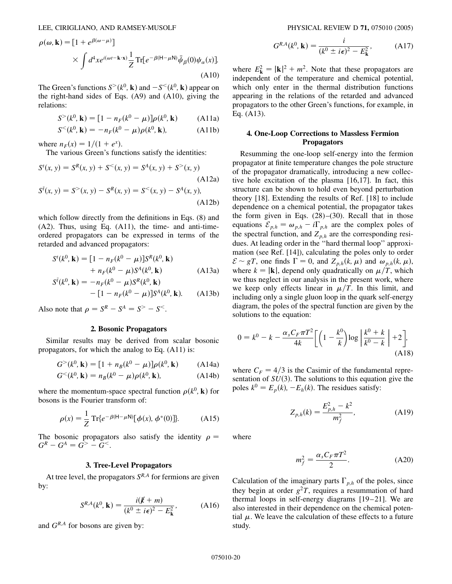$$
\rho(\omega, \mathbf{k}) = [1 + e^{\beta(\omega - \mu)}]
$$
  
 
$$
\times \int d^4x e^{i(\omega t - \mathbf{k} \cdot \mathbf{x})} \frac{1}{Z} \text{Tr} [e^{-\beta(\mathbf{H} - \mu \mathbf{N})} \bar{\psi}_{\beta}(0) \psi_{\alpha}(x)].
$$
  
(A10)

The Green's functions  $S^{>}$  $(k^0, \mathbf{k})$  and  $-S^{<}(k^0, \mathbf{k})$  appear on the right-hand sides of Eqs. (A9) and (A10), giving the relations:

$$
S^{>}(k^{0}, \mathbf{k}) = [1 - n_{F}(k^{0} - \mu)]\rho(k^{0}, \mathbf{k})
$$
 (A11a)

$$
S<(k0, \mathbf{k}) = -nF(k0 - \mu)\rho(k0, \mathbf{k}),
$$
 (A11b)

where  $n_F(x) = 1/(1 + e^x)$ .

The various Green's functions satisfy the identities:

$$
S^{t}(x, y) = S^{R}(x, y) + S^{<}(x, y) = S^{A}(x, y) + S^{>}(x, y)
$$
\n(A12a)  
\n
$$
S^{\bar{t}}(x, y) = S^{>}(x, y) - S^{R}(x, y) = S^{<}(x, y) - S^{A}(x, y),
$$
\n(A12b)

which follow directly from the definitions in Eqs. (8) and (A2). Thus, using Eq. (A11), the time- and anti-timeordered propagators can be expressed in terms of the retarded and advanced propagators:

$$
St(k0, \mathbf{k}) = [1 - nF(k0 - \mu)]SR(k0, \mathbf{k})
$$
  
+ n<sub>F</sub>(k<sup>0</sup> - \mu)S<sup>A</sup>(k<sup>0</sup>, \mathbf{k}) \t(A13a)

$$
ST(k0, \mathbf{k}) = -nF(k0 - \mu)SR(k0, \mathbf{k})
$$

$$
- [1 - nF(k0 - \mu)]SA(k0, \mathbf{k}). \qquad (A13b)
$$

Also note that  $\rho = S^R - S^A = S^> - S^<$ .

### **2. Bosonic Propagators**

Similar results may be derived from scalar bosonic propagators, for which the analog to Eq. (A11) is:

$$
G^{>}(k^{0}, \mathbf{k}) = [1 + n_{B}(k^{0} - \mu)]\rho(k^{0}, \mathbf{k})
$$
 (A14a)

$$
G^{<}(k^{0}, \mathbf{k}) = n_{B}(k^{0} - \mu)\rho(k^{0}, \mathbf{k}), \qquad (A14b)
$$

where the momentum-space spectral function  $\rho(k^0, \mathbf{k})$  for bosons is the Fourier transform of:

$$
\rho(x) = \frac{1}{Z} \operatorname{Tr} \{ e^{-\beta(H - \mu N)} [\phi(x), \phi^*(0)] \}.
$$
 (A15)

The bosonic propagators also satisfy the identity  $\rho =$  $G^R - G^A = G^> - G^<$ .

## **3. Tree-Level Propagators**

At tree level, the propagators  $S^{R,A}$  for fermions are given by:

$$
S^{R,A}(k^0, \mathbf{k}) = \frac{i(k+m)}{(k^0 \pm i\epsilon)^2 - E_\mathbf{k}^2},\tag{A16}
$$

and  $G^{R,A}$  for bosons are given by:

$$
G^{R,A}(k^0, \mathbf{k}) = \frac{i}{(k^0 \pm i\epsilon)^2 - E_\mathbf{k}^2},\tag{A17}
$$

where  $E_k^2 = |\mathbf{k}|^2 + m^2$ . Note that these propagators are independent of the temperature and chemical potential, which only enter in the thermal distribution functions appearing in the relations of the retarded and advanced propagators to the other Green's functions, for example, in Eq. (A13).

# **4. One-Loop Corrections to Massless Fermion Propagators**

Resumming the one-loop self-energy into the fermion propagator at finite temperature changes the pole structure of the propagator dramatically, introducing a new collective hole excitation of the plasma [16,17]. In fact, this structure can be shown to hold even beyond perturbation theory [18]. Extending the results of Ref. [18] to include dependence on a chemical potential, the propagator takes the form given in Eqs.  $(28)$ – $(30)$ . Recall that in those equations  $\mathcal{E}_{p,h} = \omega_{p,h} - i\Gamma_{p,h}$  are the complex poles of the spectral function, and  $Z_{p,h}$  are the corresponding residues. At leading order in the ''hard thermal loop'' approximation (see Ref. [14]), calculating the poles only to order  $\mathcal{E} \sim gT$ , one finds  $\Gamma = 0$ , and  $Z_{p,h}(k, \mu)$  and  $\omega_{p,h}(k, \mu)$ , where  $k = |\mathbf{k}|$ , depend only quadratically on  $\mu/T$ , which we thus neglect in our analysis in the present work, where we keep only effects linear in  $\mu/T$ . In this limit, and including only a single gluon loop in the quark self-energy diagram, the poles of the spectral function are given by the solutions to the equation:

$$
0 = k^{0} - k - \frac{\alpha_{s} C_{F} \pi T^{2}}{4k} \bigg[ \left( 1 - \frac{k^{0}}{k} \right) \log \left| \frac{k^{0} + k}{k^{0} - k} \right| + 2 \bigg],
$$
\n(A18)

where  $C_F = 4/3$  is the Casimir of the fundamental representation of  $SU(3)$ . The solutions to this equation give the poles  $k^0 = E_p(k)$ ,  $-E_h(k)$ . The residues satisfy:

$$
Z_{p,h}(k) = \frac{E_{p,h}^2 - k^2}{m_f^2},
$$
 (A19)

where

$$
m_f^2 = \frac{\alpha_s C_F \pi T^2}{2}.
$$
 (A20)

Calculation of the imaginary parts  $\Gamma_{p,h}$  of the poles, since they begin at order  $g^2T$ , requires a resummation of hard thermal loops in self-energy diagrams [19–21]. We are also interested in their dependence on the chemical potential  $\mu$ . We leave the calculation of these effects to a future study.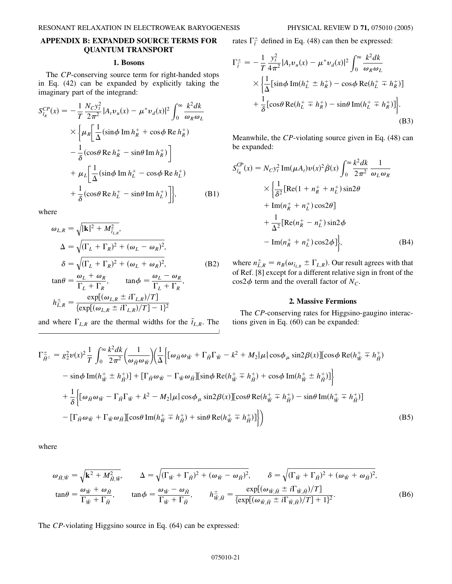# **APPENDIX B: EXPANDED SOURCE TERMS FOR QUANTUM TRANSPORT**

### **1. Bosons**

The *CP*-conserving source term for right-handed stops in Eq. (42) can be expanded by explicitly taking the imaginary part of the integrand:

$$
S_{\tilde{t}_R}^{CP}(x) = -\frac{1}{T} \frac{N_C y_t^2}{2\pi^2} |A_t v_u(x) - \mu^* v_d(x)|^2 \int_0^\infty \frac{k^2 dk}{\omega_R \omega_L}
$$
  
 
$$
\times \left\{ \mu_R \left[ \frac{1}{\Delta} (\sin\phi \operatorname{Im} h_R^+ + \cos\phi \operatorname{Re} h_R^+) \right] - \frac{1}{\delta} (\cos\theta \operatorname{Re} h_R^+ - \sin\theta \operatorname{Im} h_R^+) \right\} + \mu_L \left[ \frac{1}{\Delta} (\sin\phi \operatorname{Im} h_L^+ - \cos\phi \operatorname{Re} h_L^+) \right. \\ \left. + \frac{1}{\delta} (\cos\theta \operatorname{Re} h_L^+ - \sin\theta \operatorname{Im} h_L^+) \right] \right\}, \tag{B1}
$$

where

$$
\omega_{L,R} = \sqrt{|\mathbf{k}|^2 + M_{\tilde{t}_{L,R}}^2},
$$
  
\n
$$
\Delta = \sqrt{(\Gamma_L + \Gamma_R)^2 + (\omega_L - \omega_R)^2},
$$
  
\n
$$
\delta = \sqrt{(\Gamma_L + \Gamma_R)^2 + (\omega_L + \omega_R)^2},
$$
  
\n
$$
\tan \theta = \frac{\omega_L + \omega_R}{\Gamma_L + \Gamma_R}, \qquad \tan \phi = \frac{\omega_L - \omega_R}{\Gamma_L + \Gamma_R},
$$
  
\n
$$
h_{L,R}^{\pm} = \frac{\exp[(\omega_{L,R} \pm i\Gamma_{L,R})/T]}{\{\exp[(\omega_{L,R} \pm i\Gamma_{L,R})/T] - 1]^2}
$$

and where  $\Gamma_{L,R}$  are the thermal widths for the  $\tilde{t}_{L,R}$ . The

rates  $\Gamma_{\tilde{t}}^{\pm}$  defined in Eq. (48) can then be expressed:

$$
\Gamma_{\bar{t}}^{\pm} = -\frac{1}{T} \frac{y_t^2}{4\pi^2} |A_t v_u(x) - \mu^* v_d(x)|^2 \int_0^{\infty} \frac{k^2 dk}{\omega_R \omega_L}
$$
  
 
$$
\times \left[ \frac{1}{\Delta} [\sin\phi \operatorname{Im}(h_L^+ \pm h_R^+) - \cos\phi \operatorname{Re}(h_L^+ \mp h_R^+)] + \frac{1}{\delta} [\cos\theta \operatorname{Re}(h_L^+ \mp h_R^+) - \sin\theta \operatorname{Im}(h_L^+ \mp h_R^+)] \right].
$$
  
(B3)

Meanwhile, the *CP*-violating source given in Eq. (48) can be expanded:

$$
S_{\tilde{t}_R}^{CP}(x) = N_C y_t^2 Im(\mu A_t) v(x)^2 \dot{\beta}(x) \int_0^\infty \frac{k^2 dk}{2\pi^2} \frac{1}{\omega_L \omega_R}
$$
  
 
$$
\times \left\{ \frac{1}{\delta^2} [Re(1 + n_R^+ + n_L^+) sin2\theta
$$
  
 
$$
+ Im(n_R^+ + n_L^+) cos2\theta ]
$$
  
 
$$
+ \frac{1}{\Delta^2} [Re(n_R^+ - n_L^+) sin2\phi
$$
  
 
$$
- Im(n_R^+ + n_L^+) cos2\phi ] \right\}, \qquad (B4)
$$

where  $n_{L,R}^{\pm} = n_B(\omega_{\tilde{t}_{L,R}} \pm \Gamma_{L,R})$ . Our result agrees with that of Ref. [8] except for a different relative sign in front of the  $\cos 2\phi$  term and the overall factor of  $N_C$ .

## **2. Massive Fermions**

The *CP*-conserving rates for Higgsino-gaugino interactions given in Eq. (60) can be expanded:

$$
\Gamma_{\tilde{H}^{\pm}}^{\pm} = g_2^2 \nu(x)^2 \frac{1}{T} \int_0^{\infty} \frac{k^2 dk}{2\pi^2} \left( \frac{1}{\omega_{\tilde{H}} \omega_{\tilde{W}}} \right) \left( \frac{1}{\Delta} \left\{ \left[ \omega_{\tilde{H}} \omega_{\tilde{W}} + \Gamma_{\tilde{H}} \Gamma_{\tilde{W}} - k^2 + M_2 |\mu| \cos \phi_{\mu} \sin 2\beta(x) \right] \left[ \cos \phi \operatorname{Re}(h_{\tilde{W}}^{\pm} \mp h_{\tilde{H}}^{\pm}) \right] \right\}
$$
  
\n
$$
- \sin \phi \operatorname{Im}(h_{\tilde{W}}^{\pm} \pm h_{\tilde{H}}^{\pm}) \right] + \left[ \Gamma_{\tilde{H}} \omega_{\tilde{W}} - \Gamma_{\tilde{W}} \omega_{\tilde{H}} \right] \left[ \sin \phi \operatorname{Re}(h_{\tilde{W}}^{\pm} \mp h_{\tilde{H}}^{\pm}) + \cos \phi \operatorname{Im}(h_{\tilde{W}}^{\pm} \pm h_{\tilde{H}}^{\pm}) \right] \right\}
$$
  
\n
$$
+ \frac{1}{\delta} \left\{ \left[ \omega_{\tilde{H}} \omega_{\tilde{W}} - \Gamma_{\tilde{H}} \Gamma_{\tilde{W}} + k^2 - M_2 |\mu| \cos \phi_{\mu} \sin 2\beta(x) \right] \left[ \cos \theta \operatorname{Re}(h_{\tilde{W}}^{\pm} \mp h_{\tilde{H}}^{\pm}) - \sin \theta \operatorname{Im}(h_{\tilde{W}}^{\pm} \mp h_{\tilde{H}}^{\pm}) \right] \right\}
$$
  
\n
$$
- \left[ \Gamma_{\tilde{H}} \omega_{\tilde{W}} + \Gamma_{\tilde{W}} \omega_{\tilde{H}} \right] \left[ \cos \theta \operatorname{Im}(h_{\tilde{W}}^{\pm} \mp h_{\tilde{H}}^{\pm}) + \sin \theta \operatorname{Re}(h_{\tilde{W}}^{\pm} \mp h_{\tilde{H}}^{\pm}) \right] \right\}
$$
(B5)

where

$$
\omega_{\tilde{H},\tilde{W}} = \sqrt{\mathbf{k}^2 + M_{\tilde{H},\tilde{W}}^2}, \qquad \Delta = \sqrt{(\Gamma_{\tilde{W}} + \Gamma_{\tilde{H}})^2 + (\omega_{\tilde{W}} - \omega_{\tilde{H}})^2}, \qquad \delta = \sqrt{(\Gamma_{\tilde{W}} + \Gamma_{\tilde{H}})^2 + (\omega_{\tilde{W}} + \omega_{\tilde{H}})^2},
$$
  
\n
$$
\tan \theta = \frac{\omega_{\tilde{W}} + \omega_{\tilde{H}}}{\Gamma_{\tilde{W}} + \Gamma_{\tilde{H}}}, \qquad \tan \phi = \frac{\omega_{\tilde{W}} - \omega_{\tilde{H}}}{\Gamma_{\tilde{W}} + \Gamma_{\tilde{H}}}, \qquad h_{\tilde{W},\tilde{H}}^{\pm} = \frac{\exp[(\omega_{\tilde{W},\tilde{H}} \pm i\Gamma_{\tilde{W},\tilde{H}})/T]}{\{\exp[(\omega_{\tilde{W},\tilde{H}} \pm i\Gamma_{\tilde{W},\tilde{H}})/T] + 1\}^2}.
$$
\n(B6)

The *CP*-violating Higgsino source in Eq. (64) can be expressed: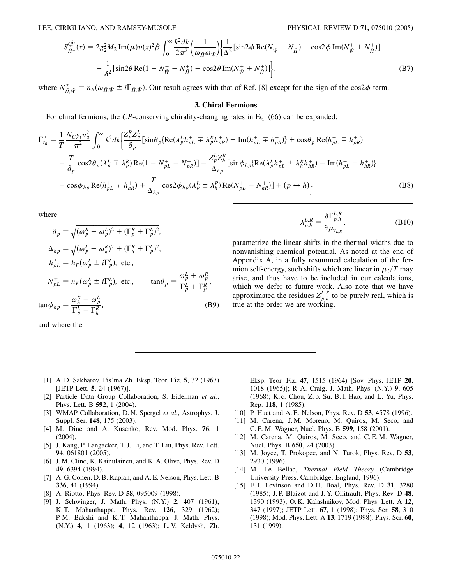$$
S_{\tilde{H}^{\pm}}^{QP}(x) = 2g_2^2 M_2 \operatorname{Im}(\mu) \nu(x)^2 \dot{\beta} \int_0^{\infty} \frac{k^2 dk}{2\pi^2} \left(\frac{1}{\omega_{\tilde{H}} \omega_{\tilde{W}}}\right) \left[\frac{1}{\Delta^2} \left[\sin 2\phi \operatorname{Re}(N_{\tilde{W}}^+ - N_{\tilde{H}}^+) + \cos 2\phi \operatorname{Im}(N_{\tilde{W}}^+ + N_{\tilde{H}}^+) \right] + \frac{1}{\delta^2} \left[\sin 2\theta \operatorname{Re}(1 - N_{\tilde{W}}^+ - N_{\tilde{H}}^+) - \cos 2\theta \operatorname{Im}(N_{\tilde{W}}^+ + N_{\tilde{H}}^+) \right],
$$
\n(B7)

where  $N^{\pm}_{\tilde{H}, \tilde{W}} = n_B(\omega_{\tilde{H}, \tilde{W}} \pm i\Gamma_{\tilde{H}, \tilde{W}})$ . Our result agrees with that of Ref. [8] except for the sign of the cos2 $\phi$  term.

#### **3. Chiral Fermions**

For chiral fermions, the *CP*-conserving chirality-changing rates in Eq. (66) can be expanded:

$$
\Gamma_{t_R}^{\pm} = \frac{1}{T} \frac{N_{C} y_t v_u^2}{\pi^2} \int_0^{\infty} k^2 dk \Big\{ \frac{Z_p^R Z_p^L}{\delta_p} \Big[ \sin \theta_p \{ \text{Re}(\lambda_p^L h_{pL}^+ \mp \lambda_p^R h_{pR}^+) - \text{Im}(h_{pL}^+ \mp h_{pR}^+) \} + \cos \theta_p \text{Re}(h_{pL}^+ \mp h_{pR}^+) \Big\}
$$
  
+ 
$$
\frac{T}{\delta_p} \cos 2 \theta_p (\lambda_p^L \mp \lambda_p^R) \text{Re}(1 - N_{pL}^+ - N_{pR}^+) \Big] - \frac{Z_p^L Z_h^R}{\Delta_{hp}} \Big[ \sin \phi_{hp} \{ \text{Re}(\lambda_p^L h_{pL}^+ \pm \lambda_h^R h_{hR}^+) - \text{Im}(h_{pL}^+ \pm h_{hR}^+) \} \Big\}
$$
  
- 
$$
\cos \phi_{hp} \text{Re}(h_{pL}^+ \mp h_{hR}^+) + \frac{T}{\Delta_{hp}} \cos 2 \phi_{hp} (\lambda_p^L \pm \lambda_h^R) \text{Re}(N_{pL}^+ - N_{hR}^+) \Big] + (p \leftrightarrow h) \Big\}
$$
(B8)

where

$$
\delta_p = \sqrt{(\omega_p^R + \omega_p^L)^2 + (\Gamma_p^R + \Gamma_p^L)^2},
$$
  
\n
$$
\Delta_{hp} = \sqrt{(\omega_p^L - \omega_h^R)^2 + (\Gamma_h^R + \Gamma_p^L)^2},
$$
  
\n
$$
h_{pL}^{\pm} = h_F(\omega_p^L \pm i\Gamma_p^L), \text{ etc.,}
$$
  
\n
$$
N_{pL}^{\pm} = n_F(\omega_p^L \pm i\Gamma_p^L), \text{ etc.,}
$$
  
\n
$$
\tan \theta_p = \frac{\omega_p^L + \omega_p^R}{\Gamma_p^L + \Gamma_h^R},
$$
  
\n
$$
\tan \phi_{hp} = \frac{\omega_h^R - \omega_p^L}{\Gamma_p^L + \Gamma_h^R},
$$
  
\n(B9)

and where the

- [1] A. D. Sakharov, Pis'ma Zh. Eksp. Teor. Fiz. **5**, 32 (1967) [JETP Lett. **5**, 24 (1967)].
- [2] Particle Data Group Collaboration, S. Eidelman *et al.*, Phys. Lett. B **592**, 1 (2004).
- [3] WMAP Collaboration, D. N. Spergel *et al.*, Astrophys. J. Suppl. Ser. **148**, 175 (2003).
- [4] M. Dine and A. Kusenko, Rev. Mod. Phys. **76**, 1 (2004).
- [5] J. Kang, P. Langacker, T. J. Li, and T. Liu, Phys. Rev. Lett. **94**, 061801 (2005).
- [6] J. M. Cline, K. Kainulainen, and K. A. Olive, Phys. Rev. D **49**, 6394 (1994).
- [7] A. G. Cohen, D. B. Kaplan, and A. E. Nelson, Phys. Lett. B **336**, 41 (1994).
- [8] A. Riotto, Phys. Rev. D **58**, 095009 (1998).
- [9] J. Schwinger, J. Math. Phys. (N.Y.) **2**, 407 (1961); K. T. Mahanthappa, Phys. Rev. **126**, 329 (1962); P. M. Bakshi and K. T. Mahanthappa, J. Math. Phys. (N.Y.) **4**, 1 (1963); **4**, 12 (1963); L. V. Keldysh, Zh.

 $\lambda_{p,h}^{L,R} = \frac{\partial \Gamma_{p,h}^{L,R}}{\partial H}$  $\partial \mu_{t_{L,R}}$ *;* (B10)

parametrize the linear shifts in the thermal widths due to nonvanishing chemical potential. As noted at the end of Appendix A, in a fully resummed calculation of the fermion self-energy, such shifts which are linear in  $\mu_i/T$  may arise, and thus have to be included in our calculations, which we defer to future work. Also note that we have approximated the residues  $Z_{p,h}^{L,R}$  to be purely real, which is true at the order we are working.

- Eksp. Teor. Fiz. **47**, 1515 (1964) [Sov. Phys. JETP **20**, 1018 (1965)]; R. A. Craig, J. Math. Phys. (N.Y.) **9**, 605 (1968); K. c. Chou, Z. b. Su, B. l. Hao, and L. Yu, Phys. Rep. **118**, 1 (1985).
- [10] P. Huet and A. E. Nelson, Phys. Rev. D **53**, 4578 (1996).
- [11] M. Carena, J.M. Moreno, M. Quiros, M. Seco, and C. E. M. Wagner, Nucl. Phys. B **599**, 158 (2001).
- [12] M. Carena, M. Quiros, M. Seco, and C. E. M. Wagner, Nucl. Phys. B **650**, 24 (2003).
- [13] M. Joyce, T. Prokopec, and N. Turok, Phys. Rev. D **53**, 2930 (1996).
- [14] M. Le Bellac, *Thermal Field Theory* (Cambridge University Press, Cambridge, England, 1996).
- [15] E. J. Levinson and D. H. Boal, Phys. Rev. D **31**, 3280 (1985); J. P. Blaizot and J. Y. Ollitrault, Phys. Rev. D **48**, 1390 (1993); O. K. Kalashnikov, Mod. Phys. Lett. A **12**, 347 (1997); JETP Lett. **67**, 1 (1998); Phys. Scr. **58**, 310 (1998); Mod. Phys. Lett. A **13**, 1719 (1998); Phys. Scr. **60**, 131 (1999).